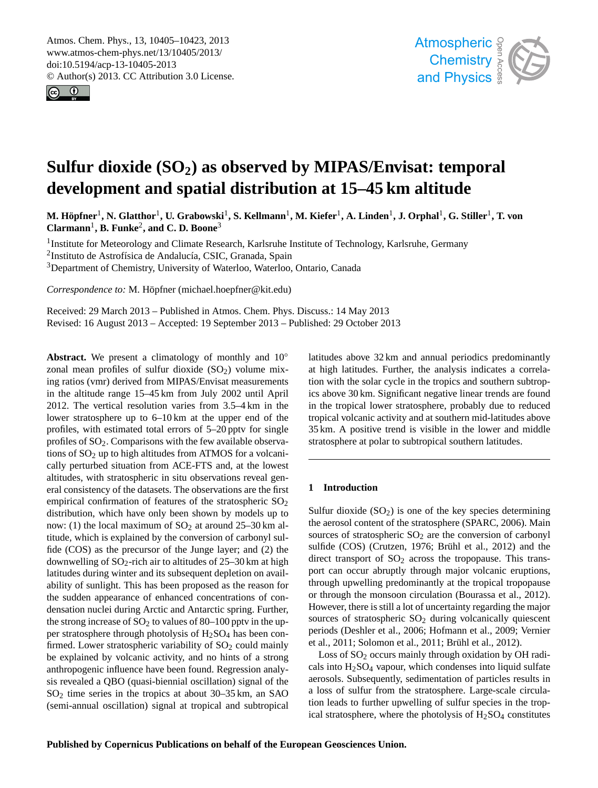<span id="page-0-0"></span>Atmos. Chem. Phys., 13, 10405–10423, 2013 www.atmos-chem-phys.net/13/10405/2013/ doi:10.5194/acp-13-10405-2013 © Author(s) 2013. CC Attribution 3.0 License.





# **Sulfur dioxide (SO2) as observed by MIPAS/Envisat: temporal development and spatial distribution at 15–45 km altitude**

 $M$ . Höpfner<sup>1</sup>, N. Glatthor<sup>1</sup>, U. Grabowski<sup>1</sup>, S. Kellmann<sup>1</sup>, M. Kiefer<sup>1</sup>, A. Linden<sup>1</sup>, J. Orphal<sup>1</sup>, G. Stiller<sup>1</sup>, T. von **Clarmann**<sup>1</sup> **, B. Funke**<sup>2</sup> **, and C. D. Boone**<sup>3</sup>

<sup>1</sup> Institute for Meteorology and Climate Research, Karlsruhe Institute of Technology, Karlsruhe, Germany <sup>2</sup>Instituto de Astrofísica de Andalucía, CSIC, Granada, Spain <sup>3</sup>Department of Chemistry, University of Waterloo, Waterloo, Ontario, Canada

*Correspondence to:* M. Höpfner (michael.hoepfner@kit.edu)

Received: 29 March 2013 – Published in Atmos. Chem. Phys. Discuss.: 14 May 2013 Revised: 16 August 2013 – Accepted: 19 September 2013 – Published: 29 October 2013

**Abstract.** We present a climatology of monthly and 10<sup>°</sup> zonal mean profiles of sulfur dioxide  $(SO<sub>2</sub>)$  volume mixing ratios (vmr) derived from MIPAS/Envisat measurements in the altitude range 15–45 km from July 2002 until April 2012. The vertical resolution varies from 3.5–4 km in the lower stratosphere up to 6–10 km at the upper end of the profiles, with estimated total errors of 5–20 pptv for single profiles of SO2. Comparisons with the few available observations of  $SO<sub>2</sub>$  up to high altitudes from ATMOS for a volcanically perturbed situation from ACE-FTS and, at the lowest altitudes, with stratospheric in situ observations reveal general consistency of the datasets. The observations are the first empirical confirmation of features of the stratospheric  $SO<sub>2</sub>$ distribution, which have only been shown by models up to now: (1) the local maximum of  $SO_2$  at around 25–30 km altitude, which is explained by the conversion of carbonyl sulfide (COS) as the precursor of the Junge layer; and (2) the downwelling of  $SO_2$ -rich air to altitudes of 25–30 km at high latitudes during winter and its subsequent depletion on availability of sunlight. This has been proposed as the reason for the sudden appearance of enhanced concentrations of condensation nuclei during Arctic and Antarctic spring. Further, the strong increase of  $SO_2$  to values of 80–100 pptv in the upper stratosphere through photolysis of  $H<sub>2</sub>SO<sub>4</sub>$  has been confirmed. Lower stratospheric variability of  $SO<sub>2</sub>$  could mainly be explained by volcanic activity, and no hints of a strong anthropogenic influence have been found. Regression analysis revealed a QBO (quasi-biennial oscillation) signal of the SO<sup>2</sup> time series in the tropics at about 30–35 km, an SAO (semi-annual oscillation) signal at tropical and subtropical

latitudes above 32 km and annual periodics predominantly at high latitudes. Further, the analysis indicates a correlation with the solar cycle in the tropics and southern subtropics above 30 km. Significant negative linear trends are found in the tropical lower stratosphere, probably due to reduced tropical volcanic activity and at southern mid-latitudes above 35 km. A positive trend is visible in the lower and middle stratosphere at polar to subtropical southern latitudes.

### **1 Introduction**

Sulfur dioxide  $(SO_2)$  is one of the key species determining the aerosol content of the stratosphere [\(SPARC,](#page-18-0) [2006\)](#page-18-0). Main sources of stratospheric  $SO<sub>2</sub>$  are the conversion of carbonyl sulfide (COS) [\(Crutzen,](#page-17-0) [1976;](#page-17-0) [Brühl et al.,](#page-16-0) [2012\)](#page-16-0) and the direct transport of  $SO_2$  across the tropopause. This transport can occur abruptly through major volcanic eruptions, through upwelling predominantly at the tropical tropopause or through the monsoon circulation [\(Bourassa et al.,](#page-16-1) [2012\)](#page-16-1). However, there is still a lot of uncertainty regarding the major sources of stratospheric  $SO<sub>2</sub>$  during volcanically quiescent periods [\(Deshler et al.,](#page-17-1) [2006;](#page-17-1) [Hofmann et al.,](#page-17-2) [2009;](#page-17-2) [Vernier](#page-18-1) [et al.,](#page-18-1) [2011;](#page-18-1) [Solomon et al.,](#page-18-2) [2011;](#page-18-2) [Brühl et al.,](#page-16-0) [2012\)](#page-16-0).

Loss of SO<sub>2</sub> occurs mainly through oxidation by OH radicals into  $H_2SO_4$  vapour, which condenses into liquid sulfate aerosols. Subsequently, sedimentation of particles results in a loss of sulfur from the stratosphere. Large-scale circulation leads to further upwelling of sulfur species in the tropical stratosphere, where the photolysis of  $H<sub>2</sub>SO<sub>4</sub>$  constitutes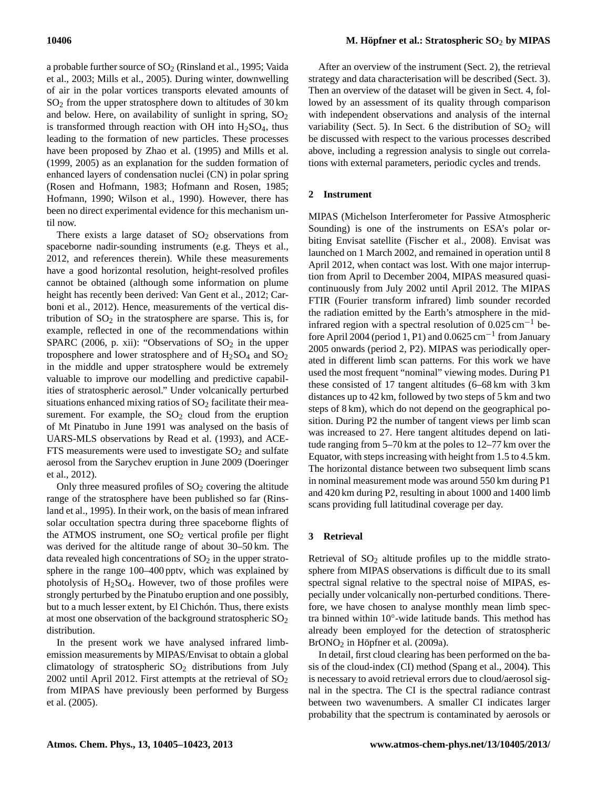a probable further source of  $SO<sub>2</sub>$  [\(Rinsland et al.,](#page-17-3) [1995;](#page-17-3) [Vaida](#page-18-3) [et al.,](#page-18-3) [2003;](#page-18-3) [Mills et al.,](#page-17-4) [2005\)](#page-17-4). During winter, downwelling of air in the polar vortices transports elevated amounts of SO<sup>2</sup> from the upper stratosphere down to altitudes of 30 km and below. Here, on availability of sunlight in spring,  $SO<sub>2</sub>$ is transformed through reaction with OH into  $H<sub>2</sub>SO<sub>4</sub>$ , thus leading to the formation of new particles. These processes have been proposed by [Zhao et al.](#page-18-4) [\(1995\)](#page-18-4) and [Mills et al.](#page-17-5) [\(1999,](#page-17-5) [2005\)](#page-17-4) as an explanation for the sudden formation of enhanced layers of condensation nuclei (CN) in polar spring [\(Rosen and Hofmann,](#page-17-6) [1983;](#page-17-6) [Hofmann and Rosen,](#page-17-7) [1985;](#page-17-7) [Hofmann,](#page-17-8) [1990;](#page-17-8) [Wilson et al.,](#page-18-5) [1990\)](#page-18-5). However, there has been no direct experimental evidence for this mechanism until now.

There exists a large dataset of  $SO<sub>2</sub>$  observations from spaceborne nadir-sounding instruments (e.g. [Theys et al.,](#page-18-6) [2012,](#page-18-6) and references therein). While these measurements have a good horizontal resolution, height-resolved profiles cannot be obtained (although some information on plume height has recently been derived: [Van Gent et al.,](#page-18-7) [2012;](#page-18-7) [Car](#page-16-2)[boni et al.,](#page-16-2) [2012\)](#page-16-2). Hence, measurements of the vertical distribution of  $SO<sub>2</sub>$  in the stratosphere are sparse. This is, for example, reflected in one of the recommendations within [SPARC](#page-18-0) [\(2006,](#page-18-0) p. xii): "Observations of  $SO<sub>2</sub>$  in the upper troposphere and lower stratosphere and of  $H<sub>2</sub>SO<sub>4</sub>$  and  $SO<sub>2</sub>$ in the middle and upper stratosphere would be extremely valuable to improve our modelling and predictive capabilities of stratospheric aerosol." Under volcanically perturbed situations enhanced mixing ratios of  $SO<sub>2</sub>$  facilitate their measurement. For example, the  $SO<sub>2</sub>$  cloud from the eruption of Mt Pinatubo in June 1991 was analysed on the basis of UARS-MLS observations by [Read et al.](#page-17-9) [\(1993\)](#page-17-9), and ACE-FTS measurements were used to investigate  $SO<sub>2</sub>$  and sulfate aerosol from the Sarychev eruption in June 2009 [\(Doeringer](#page-17-10) [et al.,](#page-17-10) [2012\)](#page-17-10).

Only three measured profiles of  $SO<sub>2</sub>$  covering the altitude range of the stratosphere have been published so far [\(Rins](#page-17-3)[land et al.,](#page-17-3) [1995\)](#page-17-3). In their work, on the basis of mean infrared solar occultation spectra during three spaceborne flights of the ATMOS instrument, one  $SO<sub>2</sub>$  vertical profile per flight was derived for the altitude range of about 30–50 km. The data revealed high concentrations of  $SO<sub>2</sub>$  in the upper stratosphere in the range 100–400 pptv, which was explained by photolysis of  $H_2SO_4$ . However, two of those profiles were strongly perturbed by the Pinatubo eruption and one possibly, but to a much lesser extent, by El Chichón. Thus, there exists at most one observation of the background stratospheric  $SO<sub>2</sub>$ distribution.

In the present work we have analysed infrared limbemission measurements by MIPAS/Envisat to obtain a global climatology of stratospheric  $SO_2$  distributions from July 2002 until April 2012. First attempts at the retrieval of  $SO_2$ from MIPAS have previously been performed by [Burgess](#page-16-3) [et al.](#page-16-3) [\(2005\)](#page-16-3).

After an overview of the instrument (Sect. [2\)](#page-1-0), the retrieval strategy and data characterisation will be described (Sect. [3\)](#page-1-1). Then an overview of the dataset will be given in Sect. [4,](#page-4-0) followed by an assessment of its quality through comparison with independent observations and analysis of the internal variability (Sect. [5\)](#page-4-1). In Sect. [6](#page-11-0) the distribution of  $SO<sub>2</sub>$  will be discussed with respect to the various processes described above, including a regression analysis to single out correlations with external parameters, periodic cycles and trends.

# <span id="page-1-0"></span>**2 Instrument**

MIPAS (Michelson Interferometer for Passive Atmospheric Sounding) is one of the instruments on ESA's polar orbiting Envisat satellite [\(Fischer et al.,](#page-17-11) [2008\)](#page-17-11). Envisat was launched on 1 March 2002, and remained in operation until 8 April 2012, when contact was lost. With one major interruption from April to December 2004, MIPAS measured quasicontinuously from July 2002 until April 2012. The MIPAS FTIR (Fourier transform infrared) limb sounder recorded the radiation emitted by the Earth's atmosphere in the midinfrared region with a spectral resolution of  $0.025$  cm<sup>-1</sup> before April 2004 (period 1, P1) and 0.0625 cm<sup>-1</sup> from January 2005 onwards (period 2, P2). MIPAS was periodically operated in different limb scan patterns. For this work we have used the most frequent "nominal" viewing modes. During P1 these consisted of 17 tangent altitudes (6–68 km with 3 km distances up to 42 km, followed by two steps of 5 km and two steps of 8 km), which do not depend on the geographical position. During P2 the number of tangent views per limb scan was increased to 27. Here tangent altitudes depend on latitude ranging from 5–70 km at the poles to 12–77 km over the Equator, with steps increasing with height from 1.5 to 4.5 km. The horizontal distance between two subsequent limb scans in nominal measurement mode was around 550 km during P1 and 420 km during P2, resulting in about 1000 and 1400 limb scans providing full latitudinal coverage per day.

### <span id="page-1-1"></span>**3 Retrieval**

Retrieval of  $SO<sub>2</sub>$  altitude profiles up to the middle stratosphere from MIPAS observations is difficult due to its small spectral signal relative to the spectral noise of MIPAS, especially under volcanically non-perturbed conditions. Therefore, we have chosen to analyse monthly mean limb spectra binned within 10◦ -wide latitude bands. This method has already been employed for the detection of stratospheric BrONO<sup>2</sup> in [Höpfner et al.](#page-17-12) [\(2009a\)](#page-17-12).

In detail, first cloud clearing has been performed on the basis of the cloud-index (CI) method [\(Spang et al.,](#page-18-8) [2004\)](#page-18-8). This is necessary to avoid retrieval errors due to cloud/aerosol signal in the spectra. The CI is the spectral radiance contrast between two wavenumbers. A smaller CI indicates larger probability that the spectrum is contaminated by aerosols or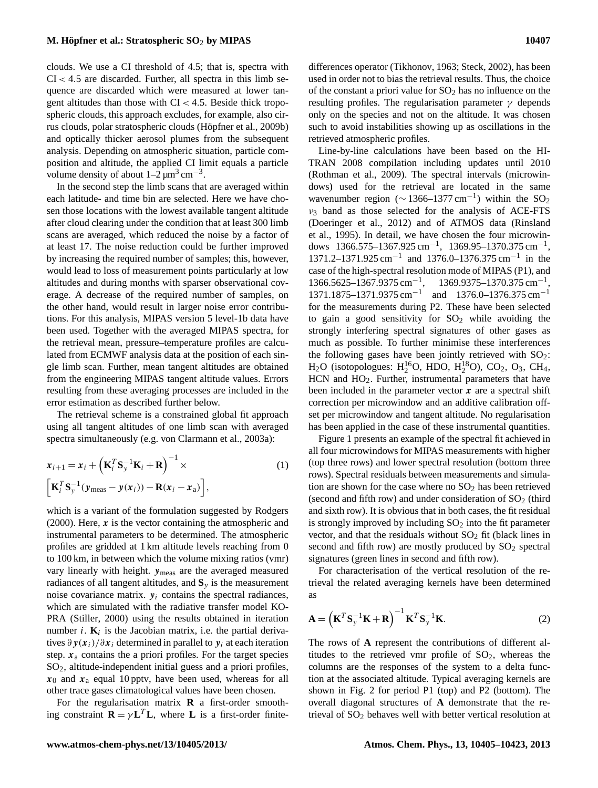clouds. We use a CI threshold of 4.5; that is, spectra with  $CI < 4.5$  are discarded. Further, all spectra in this limb sequence are discarded which were measured at lower tangent altitudes than those with  $CI < 4.5$ . Beside thick tropospheric clouds, this approach excludes, for example, also cirrus clouds, polar stratospheric clouds [\(Höpfner et al.,](#page-17-13) [2009b\)](#page-17-13) and optically thicker aerosol plumes from the subsequent analysis. Depending on atmospheric situation, particle composition and altitude, the applied CI limit equals a particle volume density of about  $1-2 \mu m^3 cm^{-3}$ .

In the second step the limb scans that are averaged within each latitude- and time bin are selected. Here we have chosen those locations with the lowest available tangent altitude after cloud clearing under the condition that at least 300 limb scans are averaged, which reduced the noise by a factor of at least 17. The noise reduction could be further improved by increasing the required number of samples; this, however, would lead to loss of measurement points particularly at low altitudes and during months with sparser observational coverage. A decrease of the required number of samples, on the other hand, would result in larger noise error contributions. For this analysis, MIPAS version 5 level-1b data have been used. Together with the averaged MIPAS spectra, for the retrieval mean, pressure–temperature profiles are calculated from ECMWF analysis data at the position of each single limb scan. Further, mean tangent altitudes are obtained from the engineering MIPAS tangent altitude values. Errors resulting from these averaging processes are included in the error estimation as described further below.

The retrieval scheme is a constrained global fit approach using all tangent altitudes of one limb scan with averaged spectra simultaneously (e.g. [von Clarmann et al.,](#page-18-9) [2003a\)](#page-18-9):

$$
\mathbf{x}_{i+1} = \mathbf{x}_i + \left(\mathbf{K}_i^T \mathbf{S}_y^{-1} \mathbf{K}_i + \mathbf{R}\right)^{-1} \times
$$
\n
$$
\left[\mathbf{K}_i^T \mathbf{S}_y^{-1} (\mathbf{y}_{\text{meas}} - \mathbf{y}(\mathbf{x}_i)) - \mathbf{R}(\mathbf{x}_i - \mathbf{x}_a)\right],
$$
\n(1)

which is a variant of the formulation suggested by [Rodgers](#page-17-14) [\(2000\)](#page-17-14). Here,  $x$  is the vector containing the atmospheric and instrumental parameters to be determined. The atmospheric profiles are gridded at 1 km altitude levels reaching from 0 to 100 km, in between which the volume mixing ratios (vmr) vary linearly with height. ymeas are the averaged measured radiances of all tangent altitudes, and  $S<sub>y</sub>$  is the measurement noise covariance matrix.  $y_i$  contains the spectral radiances, which are simulated with the radiative transfer model KO-PRA [\(Stiller,](#page-18-10) [2000\)](#page-18-10) using the results obtained in iteration number  $i$ .  $\mathbf{K}_i$  is the Jacobian matrix, i.e. the partial derivatives  $\partial y(x_i)/\partial x_i$  determined in parallel to  $y_i$  at each iteration step.  $x_a$  contains the a priori profiles. For the target species SO2, altitude-independent initial guess and a priori profiles,  $x_0$  and  $x_a$  equal 10 pptv, have been used, whereas for all other trace gases climatological values have been chosen.

For the regularisation matrix **R** a first-order smoothing constraint  $\mathbf{R} = \gamma \mathbf{L}^T \mathbf{L}$ , where **L** is a first-order finite-

differences operator [\(Tikhonov,](#page-18-11) [1963;](#page-18-11) [Steck,](#page-18-12) [2002\)](#page-18-12), has been used in order not to bias the retrieval results. Thus, the choice of the constant a priori value for  $SO<sub>2</sub>$  has no influence on the resulting profiles. The regularisation parameter  $\gamma$  depends only on the species and not on the altitude. It was chosen such to avoid instabilities showing up as oscillations in the retrieved atmospheric profiles.

Line-by-line calculations have been based on the HI-TRAN 2008 compilation including updates until 2010 [\(Rothman et al.,](#page-18-13) [2009\)](#page-18-13). The spectral intervals (microwindows) used for the retrieval are located in the same wavenumber region ( $\sim$  1366–1377 cm<sup>-1</sup>) within the SO<sub>2</sub>  $v_3$  band as those selected for the analysis of ACE-FTS [\(Doeringer et al.,](#page-17-10) [2012\)](#page-17-10) and of ATMOS data [\(Rinsland](#page-17-3) [et al.,](#page-17-3) [1995\)](#page-17-3). In detail, we have chosen the four microwindows 1366.575–1367.925 cm<sup>-1</sup>, 1369.95–1370.375 cm<sup>-1</sup>, 1371.2–1371.925 cm−<sup>1</sup> and 1376.0–1376.375 cm−<sup>1</sup> in the case of the high-spectral resolution mode of MIPAS (P1), and  $1366.5625 - 1367.9375$  cm<sup>-1</sup>, 1369.9375-1370.375 cm<sup>-1</sup>, 1371.1875–1371.9375 cm<sup>-1</sup> and 1376.0–1376.375 cm<sup>-1</sup> for the measurements during P2. These have been selected to gain a good sensitivity for  $SO_2$  while avoiding the strongly interfering spectral signatures of other gases as much as possible. To further minimise these interferences the following gases have been jointly retrieved with  $SO_2$ :  $H_2O$  (isotopologues:  $H_2^{16}O$ , HDO,  $H_2^{18}O$ ), CO<sub>2</sub>, O<sub>3</sub>, CH<sub>4</sub>, HCN and HO<sub>2</sub>. Further, instrumental parameters that have been included in the parameter vector  $x$  are a spectral shift correction per microwindow and an additive calibration offset per microwindow and tangent altitude. No regularisation has been applied in the case of these instrumental quantities.

Figure [1](#page-3-0) presents an example of the spectral fit achieved in all four microwindows for MIPAS measurements with higher (top three rows) and lower spectral resolution (bottom three rows). Spectral residuals between measurements and simulation are shown for the case where no  $SO<sub>2</sub>$  has been retrieved (second and fifth row) and under consideration of  $SO<sub>2</sub>$  (third and sixth row). It is obvious that in both cases, the fit residual is strongly improved by including  $SO<sub>2</sub>$  into the fit parameter vector, and that the residuals without  $SO<sub>2</sub>$  fit (black lines in second and fifth row) are mostly produced by  $SO_2$  spectral signatures (green lines in second and fifth row).

For characterisation of the vertical resolution of the retrieval the related averaging kernels have been determined as

$$
\mathbf{A} = \left(\mathbf{K}^T \mathbf{S}_y^{-1} \mathbf{K} + \mathbf{R}\right)^{-1} \mathbf{K}^T \mathbf{S}_y^{-1} \mathbf{K}.
$$
 (2)

The rows of **A** represent the contributions of different altitudes to the retrieved vmr profile of  $SO<sub>2</sub>$ , whereas the columns are the responses of the system to a delta function at the associated altitude. Typical averaging kernels are shown in Fig. [2](#page-4-2) for period P1 (top) and P2 (bottom). The overall diagonal structures of **A** demonstrate that the retrieval of  $SO<sub>2</sub>$  behaves well with better vertical resolution at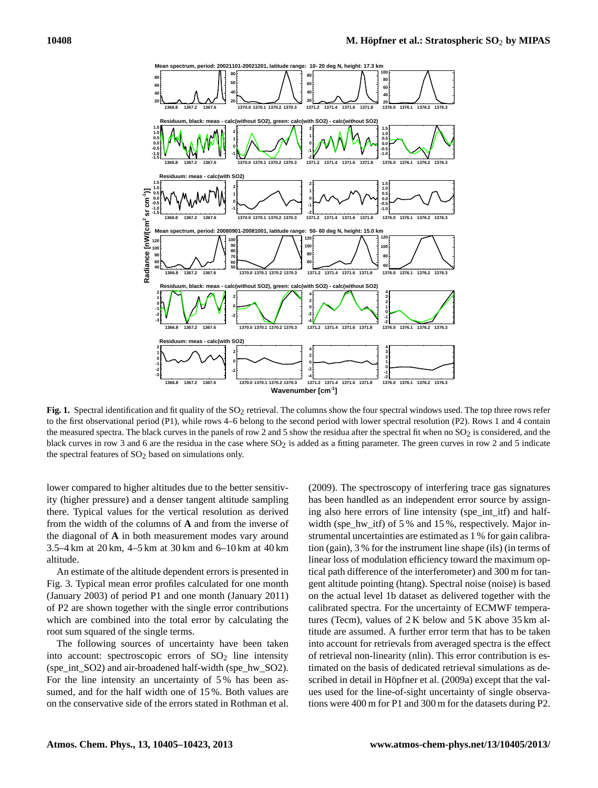

<span id="page-3-0"></span>Fig. 1. Spectral identification and fit quality of the SO<sub>2</sub> retrieval. The columns show the four spectral windows used. The top three rows refer to the first observational period (P1), while rows 4–6 belong to the second period with lower spectral resolution (P2). Rows 1 and 4 contain the measured spectra. The black curves in the panels of row 2 and 5 show the residua after the spectral fit when no  $SO_2$  is considered, and the black curves in row 3 and 6 are the residua in the case where  $SO<sub>2</sub>$  is added as a fitting parameter. The green curves in row 2 and 5 indicate the spectral features of  $SO<sub>2</sub>$  based on simulations only.

lower compared to higher altitudes due to the better sensitivity (higher pressure) and a denser tangent altitude sampling there. Typical values for the vertical resolution as derived from the width of the columns of **A** and from the inverse of the diagonal of **A** in both measurement modes vary around 3.5–4 km at 20 km, 4–5 km at 30 km and 6–10 km at 40 km altitude.

An estimate of the altitude dependent errors is presented in Fig. [3.](#page-4-3) Typical mean error profiles calculated for one month (January 2003) of period P1 and one month (January 2011) of P2 are shown together with the single error contributions which are combined into the total error by calculating the root sum squared of the single terms.

The following sources of uncertainty have been taken into account: spectroscopic errors of  $SO<sub>2</sub>$  line intensity (spe\_int\_SO2) and air-broadened half-width (spe\_hw\_SO2). For the line intensity an uncertainty of 5 % has been assumed, and for the half width one of 15 %. Both values are on the conservative side of the errors stated in [Rothman et al.](#page-18-13)

[\(2009\)](#page-18-13). The spectroscopy of interfering trace gas signatures has been handled as an independent error source by assigning also here errors of line intensity (spe\_int\_itf) and halfwidth (spe\_hw\_itf) of 5 % and 15 %, respectively. Major instrumental uncertainties are estimated as 1 % for gain calibration (gain), 3 % for the instrument line shape (ils) (in terms of linear loss of modulation efficiency toward the maximum optical path difference of the interferometer) and 300 m for tangent altitude pointing (htang). Spectral noise (noise) is based on the actual level 1b dataset as delivered together with the calibrated spectra. For the uncertainty of ECMWF temperatures (Tecm), values of 2 K below and 5 K above 35 km altitude are assumed. A further error term that has to be taken into account for retrievals from averaged spectra is the effect of retrieval non-linearity (nlin). This error contribution is estimated on the basis of dedicated retrieval simulations as described in detail in [Höpfner et al.](#page-17-12) [\(2009a\)](#page-17-12) except that the values used for the line-of-sight uncertainty of single observations were 400 m for P1 and 300 m for the datasets during P2.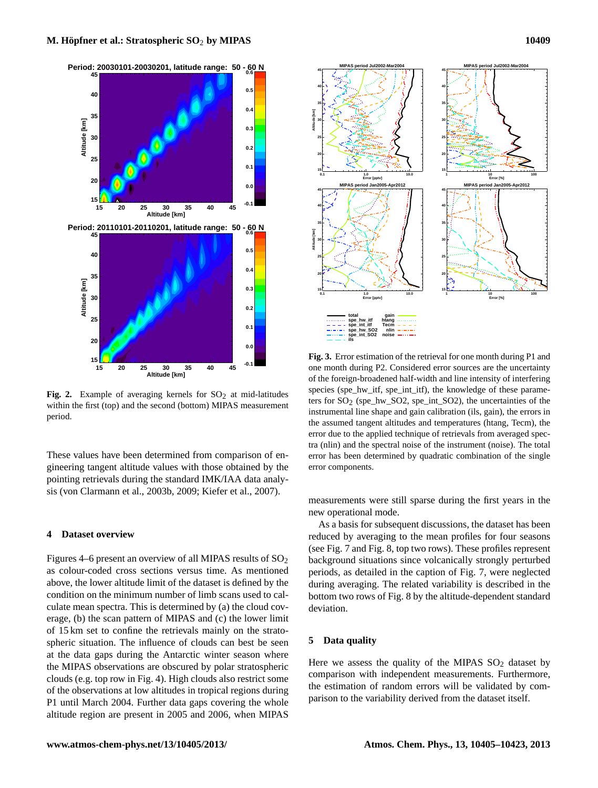



<span id="page-4-2"></span>Fig. 2. Example of averaging kernels for  $SO<sub>2</sub>$  at mid-latitudes within the first (top) and the second (bottom) MIPAS measurement period.

These values have been determined from comparison of engineering tangent altitude values with those obtained by the pointing retrievals during the standard IMK/IAA data analysis [\(von Clarmann et al.,](#page-18-14) [2003b,](#page-18-14) [2009;](#page-18-15) [Kiefer et al.,](#page-17-15) [2007\)](#page-17-15).

## <span id="page-4-0"></span>**4 Dataset overview**

Figures [4–](#page-5-0)[6](#page-7-0) present an overview of all MIPAS results of  $SO_2$ as colour-coded cross sections versus time. As mentioned above, the lower altitude limit of the dataset is defined by the condition on the minimum number of limb scans used to calculate mean spectra. This is determined by (a) the cloud coverage, (b) the scan pattern of MIPAS and (c) the lower limit of 15 km set to confine the retrievals mainly on the stratospheric situation. The influence of clouds can best be seen at the data gaps during the Antarctic winter season where the MIPAS observations are obscured by polar stratospheric clouds (e.g. top row in Fig. [4\)](#page-5-0). High clouds also restrict some of the observations at low altitudes in tropical regions during P1 until March 2004. Further data gaps covering the whole altitude region are present in 2005 and 2006, when MIPAS



<span id="page-4-3"></span>**Fig. 3.** Error estimation of the retrieval for one month during P1 and one month during P2. Considered error sources are the uncertainty of the foreign-broadened half-width and line intensity of interfering species (spe\_hw\_itf, spe\_int\_itf), the knowledge of these parameters for SO2 (spe\_hw\_SO2, spe\_int\_SO2), the uncertainties of the instrumental line shape and gain calibration (ils, gain), the errors in the assumed tangent altitudes and temperatures (htang, Tecm), the error due to the applied technique of retrievals from averaged spectra (nlin) and the spectral noise of the instrument (noise). The total error has been determined by quadratic combination of the single error components.

measurements were still sparse during the first years in the new operational mode.

As a basis for subsequent discussions, the dataset has been reduced by averaging to the mean profiles for four seasons (see Fig. [7](#page-8-0) and Fig. [8,](#page-9-0) top two rows). These profiles represent background situations since volcanically strongly perturbed periods, as detailed in the caption of Fig. [7,](#page-8-0) were neglected during averaging. The related variability is described in the bottom two rows of Fig. [8](#page-9-0) by the altitude-dependent standard deviation.

### <span id="page-4-1"></span>**5 Data quality**

Here we assess the quality of the MIPAS  $SO<sub>2</sub>$  dataset by comparison with independent measurements. Furthermore, the estimation of random errors will be validated by comparison to the variability derived from the dataset itself.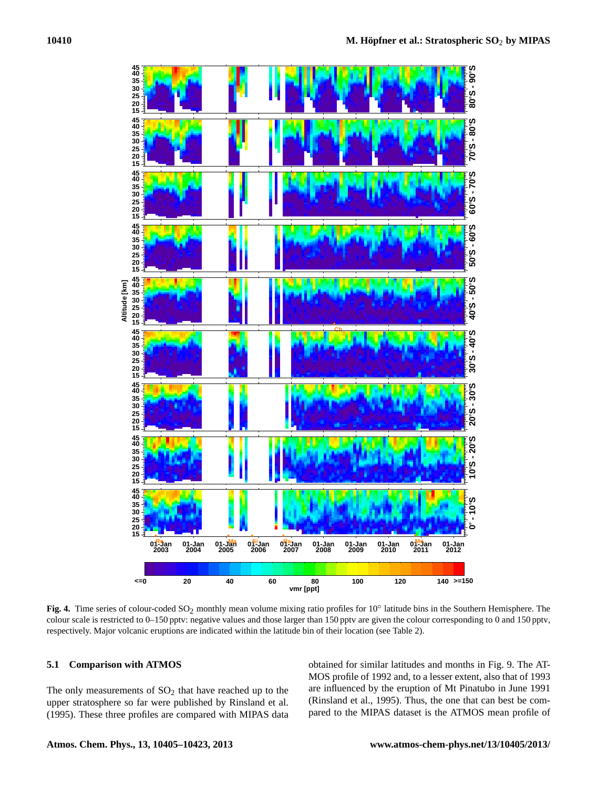

<span id="page-5-0"></span>**Fig. 4.** Time series of colour-coded SO<sub>2</sub> monthly mean volume mixing ratio profiles for 10<sup>°</sup> latitude bins in the Southern Hemisphere. The colour scale is restricted to 0–150 pptv: negative values and those larger than 150 pptv are given the colour corresponding to 0 and 150 pptv, respectively. Major volcanic eruptions are indicated within the latitude bin of their location (see Table [2\)](#page-12-0).

# **5.1 Comparison with ATMOS**

The only measurements of  $SO<sub>2</sub>$  that have reached up to the upper stratosphere so far were published by [Rinsland et al.](#page-17-3) [\(1995\)](#page-17-3). These three profiles are compared with MIPAS data

obtained for similar latitudes and months in Fig. [9.](#page-10-0) The AT-MOS profile of 1992 and, to a lesser extent, also that of 1993 are influenced by the eruption of Mt Pinatubo in June 1991 [\(Rinsland et al.,](#page-17-3) [1995\)](#page-17-3). Thus, the one that can best be compared to the MIPAS dataset is the ATMOS mean profile of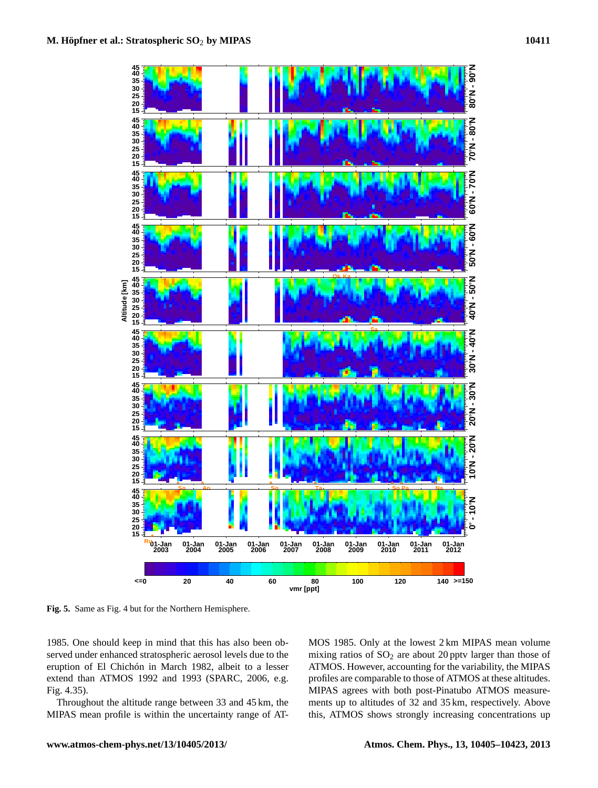

<span id="page-6-0"></span>**Fig. 5.** Same as Fig. [4](#page-5-0) but for the Northern Hemisphere.

1985. One should keep in mind that this has also been observed under enhanced stratospheric aerosol levels due to the eruption of El Chichón in March 1982, albeit to a lesser extend than ATMOS 1992 and 1993 [\(SPARC,](#page-18-0) [2006,](#page-18-0) e.g. Fig. 4.35).

Throughout the altitude range between 33 and 45 km, the MIPAS mean profile is within the uncertainty range of AT- MOS 1985. Only at the lowest 2 km MIPAS mean volume mixing ratios of  $SO<sub>2</sub>$  are about 20 pptv larger than those of ATMOS. However, accounting for the variability, the MIPAS profiles are comparable to those of ATMOS at these altitudes. MIPAS agrees with both post-Pinatubo ATMOS measurements up to altitudes of 32 and 35 km, respectively. Above this, ATMOS shows strongly increasing concentrations up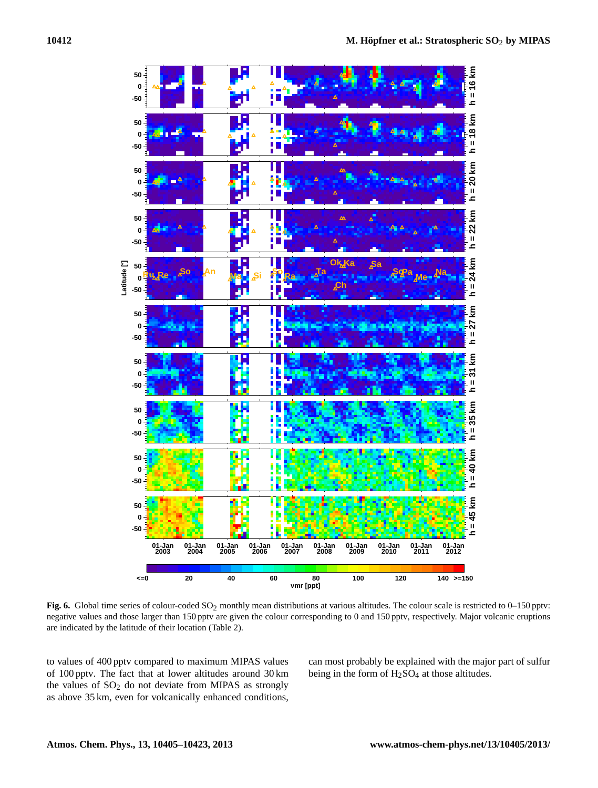

<span id="page-7-0"></span>**Fig. 6.** Global time series of colour-coded SO<sub>2</sub> monthly mean distributions at various altitudes. The colour scale is restricted to 0–150 pptv: negative values and those larger than 150 pptv are given the colour corresponding to 0 and 150 pptv, respectively. Major volcanic eruptions are indicated by the latitude of their location (Table [2\)](#page-12-0).

to values of 400 pptv compared to maximum MIPAS values of 100 pptv. The fact that at lower altitudes around 30 km the values of  $SO<sub>2</sub>$  do not deviate from MIPAS as strongly as above 35 km, even for volcanically enhanced conditions,

can most probably be explained with the major part of sulfur being in the form of  $H_2SO_4$  at those altitudes.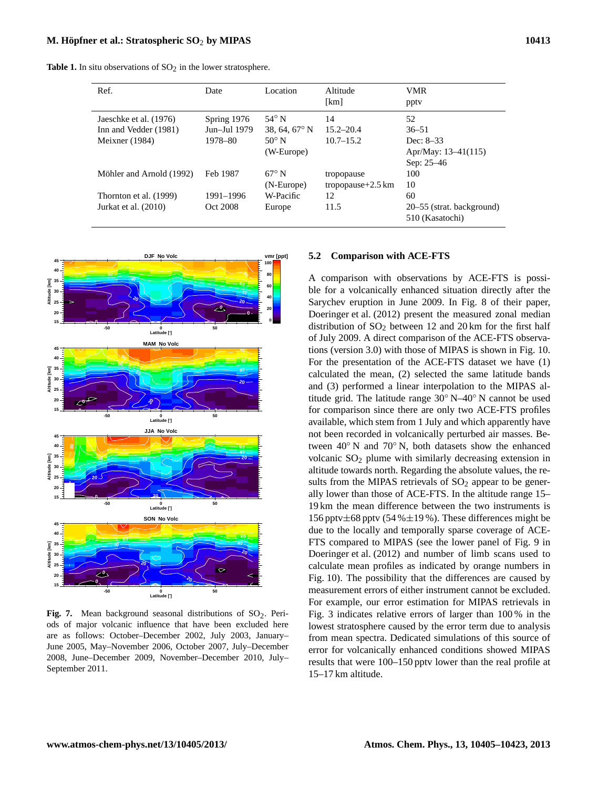**Table 1.** In situ observations of  $SO<sub>2</sub>$  in the lower stratosphere.

<span id="page-8-1"></span>

| Ref.                     | Date         | Location               | Altitude<br>[km]             | <b>VMR</b><br>ppty                           |
|--------------------------|--------------|------------------------|------------------------------|----------------------------------------------|
| Jaeschke et al. (1976)   | Spring 1976  | 54 $\degree$ N         | 14                           | 52                                           |
| Inn and Vedder (1981)    | Jun–Jul 1979 | 38, 64, $67^{\circ}$ N | $15.2 - 20.4$                | $36 - 51$                                    |
| Meixner $(1984)$         | 1978–80      | $50^{\circ}$ N         | $10.7 - 15.2$                | Dec: $8-33$                                  |
|                          |              | (W-Europe)             |                              | Apr/May: 13–41(115)                          |
|                          |              |                        |                              | Sep: 25-46                                   |
| Möhler and Arnold (1992) | Feb 1987     | $67^\circ$ N           | tropopause                   | 100                                          |
|                          |              | (N-Europe)             | tropopause $+2.5 \text{ km}$ | 10                                           |
| Thornton et al. (1999)   | 1991-1996    | W-Pacific              | 12                           | 60                                           |
| Jurkat et al. (2010)     | Oct 2008     | Europe                 | 11.5                         | 20–55 (strat. background)<br>510 (Kasatochi) |



<span id="page-8-2"></span><span id="page-8-0"></span>Fig. 7. Mean background seasonal distributions of SO<sub>2</sub>. Periods of major volcanic influence that have been excluded here are as follows: October–December 2002, July 2003, January– June 2005, May–November 2006, October 2007, July–December 2008, June–December 2009, November–December 2010, July– September 2011.

### **5.2 Comparison with ACE-FTS**

A comparison with observations by ACE-FTS is possible for a volcanically enhanced situation directly after the Sarychev eruption in June 2009. In Fig. 8 of their paper, [Doeringer et al.](#page-17-10) [\(2012\)](#page-17-10) present the measured zonal median distribution of  $SO_2$  between 12 and 20 km for the first half of July 2009. A direct comparison of the ACE-FTS observations (version 3.0) with those of MIPAS is shown in Fig. [10.](#page-10-1) For the presentation of the ACE-FTS dataset we have (1) calculated the mean, (2) selected the same latitude bands and (3) performed a linear interpolation to the MIPAS altitude grid. The latitude range 30◦ N–40◦ N cannot be used for comparison since there are only two ACE-FTS profiles available, which stem from 1 July and which apparently have not been recorded in volcanically perturbed air masses. Between 40◦ N and 70◦ N, both datasets show the enhanced volcanic SO<sub>2</sub> plume with similarly decreasing extension in altitude towards north. Regarding the absolute values, the results from the MIPAS retrievals of  $SO<sub>2</sub>$  appear to be generally lower than those of ACE-FTS. In the altitude range 15– 19 km the mean difference between the two instruments is 156 pptv $\pm$ 68 pptv (54 % $\pm$ 19 %). These differences might be due to the locally and temporally sparse coverage of ACE-FTS compared to MIPAS (see the lower panel of Fig. 9 in [Doeringer et al.](#page-17-10) [\(2012\)](#page-17-10) and number of limb scans used to calculate mean profiles as indicated by orange numbers in Fig. [10\)](#page-10-1). The possibility that the differences are caused by measurement errors of either instrument cannot be excluded. For example, our error estimation for MIPAS retrievals in Fig. [3](#page-4-3) indicates relative errors of larger than 100 % in the lowest stratosphere caused by the error term due to analysis from mean spectra. Dedicated simulations of this source of error for volcanically enhanced conditions showed MIPAS results that were 100–150 pptv lower than the real profile at 15–17 km altitude.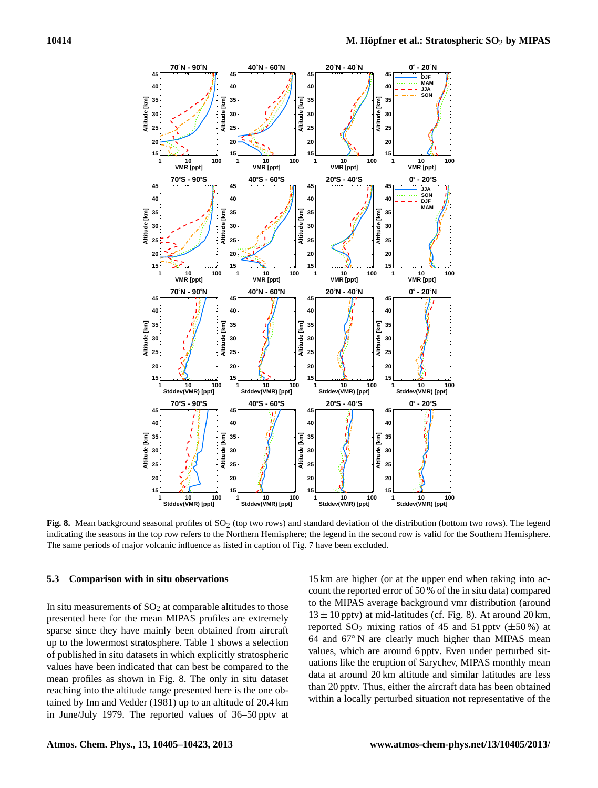

<span id="page-9-0"></span>Fig. 8. Mean background seasonal profiles of SO<sub>2</sub> (top two rows) and standard deviation of the distribution (bottom two rows). The legend indicating the seasons in the top row refers to the Northern Hemisphere; the legend in the second row is valid for the Southern Hemisphere. The same periods of major volcanic influence as listed in caption of Fig. [7](#page-8-0) have been excluded.

### **5.3 Comparison with in situ observations**

In situ measurements of  $SO<sub>2</sub>$  at comparable altitudes to those presented here for the mean MIPAS profiles are extremely sparse since they have mainly been obtained from aircraft up to the lowermost stratosphere. Table [1](#page-8-1) shows a selection of published in situ datasets in which explicitly stratospheric values have been indicated that can best be compared to the mean profiles as shown in Fig. [8.](#page-9-0) The only in situ dataset reaching into the altitude range presented here is the one obtained by [Inn and Vedder](#page-17-17) [\(1981\)](#page-17-17) up to an altitude of 20.4 km in June/July 1979. The reported values of 36–50 pptv at

15 km are higher (or at the upper end when taking into account the reported error of 50 % of the in situ data) compared to the MIPAS average background vmr distribution (around  $13 \pm 10$  pptv) at mid-latitudes (cf. Fig. [8\)](#page-9-0). At around  $20 \text{ km}$ , reported  $SO_2$  mixing ratios of 45 and 51 pptv ( $\pm 50\%$ ) at 64 and 67◦ N are clearly much higher than MIPAS mean values, which are around 6 pptv. Even under perturbed situations like the eruption of Sarychev, MIPAS monthly mean data at around 20 km altitude and similar latitudes are less than 20 pptv. Thus, either the aircraft data has been obtained within a locally perturbed situation not representative of the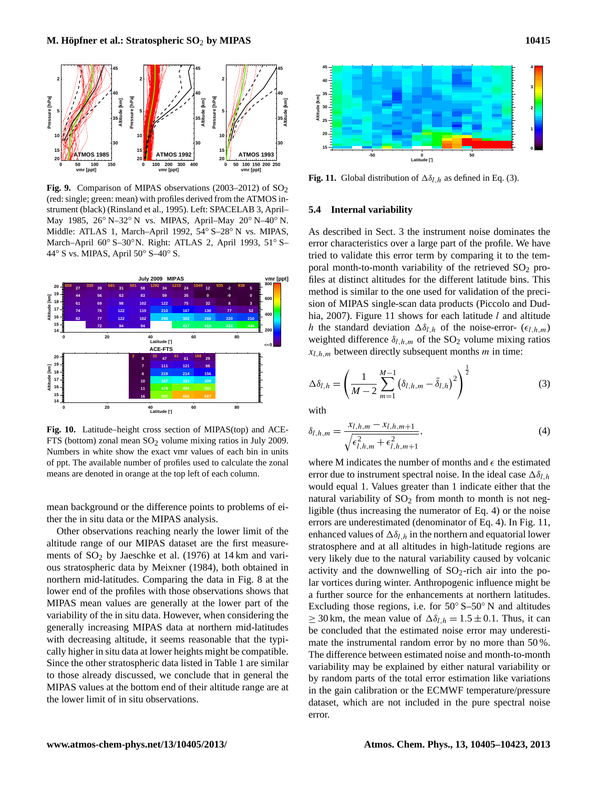

<span id="page-10-0"></span>**Fig. 9.** Comparison of MIPAS observations  $(2003-2012)$  of  $SO<sub>2</sub>$ (red: single; green: mean) with profiles derived from the ATMOS instrument (black) [\(Rinsland et al.,](#page-17-3) [1995\)](#page-17-3). Left: SPACELAB 3, April– May 1985, 26◦ N–32◦ N vs. MIPAS, April–May 20◦ N–40◦ N. Middle: ATLAS 1, March–April 1992, 54◦ S–28◦ N vs. MIPAS, March–April 60◦ S–30◦N. Right: ATLAS 2, April 1993, 51◦ S– 44◦ S vs. MIPAS, April 50◦ S–40◦ S.



<span id="page-10-1"></span>**Fig. 10.** Latitude–height cross section of MIPAS(top) and ACE-FTS (bottom) zonal mean  $SO<sub>2</sub>$  volume mixing ratios in July 2009. Numbers in white show the exact vmr values of each bin in units of ppt. The available number of profiles used to calculate the zonal means are denoted in orange at the top left of each column.

mean background or the difference points to problems of either the in situ data or the MIPAS analysis.

Other observations reaching nearly the lower limit of the altitude range of our MIPAS dataset are the first measurements of  $SO_2$  by [Jaeschke et al.](#page-17-16) [\(1976\)](#page-17-16) at 14 km and various stratospheric data by [Meixner](#page-17-18) [\(1984\)](#page-17-18), both obtained in northern mid-latitudes. Comparing the data in Fig. [8](#page-9-0) at the lower end of the profiles with those observations shows that MIPAS mean values are generally at the lower part of the variability of the in situ data. However, when considering the generally increasing MIPAS data at northern mid-latitudes with decreasing altitude, it seems reasonable that the typically higher in situ data at lower heights might be compatible. Since the other stratospheric data listed in Table [1](#page-8-1) are similar to those already discussed, we conclude that in general the MIPAS values at the bottom end of their altitude range are at the lower limit of in situ observations.





<span id="page-10-3"></span>**Fig. 11.** Global distribution of  $\Delta \delta_{l,h}$  as defined in Eq. [\(3\)](#page-10-2).

### **5.4 Internal variability**

As described in Sect. [3](#page-1-1) the instrument noise dominates the error characteristics over a large part of the profile. We have tried to validate this error term by comparing it to the temporal month-to-month variability of the retrieved  $SO_2$  profiles at distinct altitudes for the different latitude bins. This method is similar to the one used for validation of the precision of MIPAS single-scan data products [\(Piccolo and Dud](#page-17-21)[hia,](#page-17-21) [2007\)](#page-17-21). Figure [11](#page-10-3) shows for each latitude  $l$  and altitude h the standard deviation  $\Delta \delta_{l,h}$  of the noise-error-  $(\epsilon_{l,h,m})$ weighted difference  $\delta_{l,h,m}$  of the SO<sub>2</sub> volume mixing ratios  $x_{l,h,m}$  between directly subsequent months *m* in time:

<span id="page-10-2"></span>
$$
\Delta \delta_{l,h} = \left(\frac{1}{M-2} \sum_{m=1}^{M-1} \left(\delta_{l,h,m} - \bar{\delta}_{l,h}\right)^2\right)^{\frac{1}{2}}
$$
(3)

<span id="page-10-4"></span>with

$$
\delta_{l,h,m} = \frac{x_{l,h,m} - x_{l,h,m+1}}{\sqrt{\epsilon_{l,h,m}^2 + \epsilon_{l,h,m+1}^2}},\tag{4}
$$

where M indicates the number of months and  $\epsilon$  the estimated error due to instrument spectral noise. In the ideal case  $\Delta \delta_{lh}$ would equal 1. Values greater than 1 indicate either that the natural variability of  $SO_2$  from month to month is not negligible (thus increasing the numerator of Eq. [4\)](#page-10-4) or the noise errors are underestimated (denominator of Eq. [4\)](#page-10-4). In Fig. [11,](#page-10-3) enhanced values of  $\Delta \delta_{l,h}$  in the northern and equatorial lower stratosphere and at all altitudes in high-latitude regions are very likely due to the natural variability caused by volcanic activity and the downwelling of  $SO_2$ -rich air into the polar vortices during winter. Anthropogenic influence might be a further source for the enhancements at northern latitudes. Excluding those regions, i.e. for  $50^{\circ}$  S– $50^{\circ}$  N and altitudes  $\geq$  30 km, the mean value of  $\Delta \delta_{l,h} = 1.5 \pm 0.1$ . Thus, it can be concluded that the estimated noise error may underestimate the instrumental random error by no more than 50 %. The difference between estimated noise and month-to-month variability may be explained by either natural variability or by random parts of the total error estimation like variations in the gain calibration or the ECMWF temperature/pressure dataset, which are not included in the pure spectral noise error.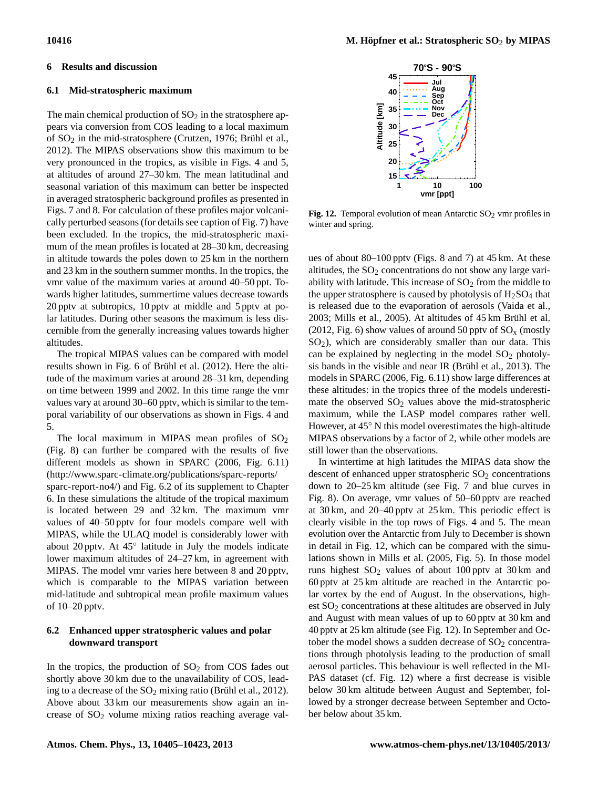# **6.1 Mid-stratospheric maximum**

<span id="page-11-0"></span>**6 Results and discussion**

The main chemical production of  $SO<sub>2</sub>$  in the stratosphere appears via conversion from COS leading to a local maximum of SO<sup>2</sup> in the mid-stratosphere [\(Crutzen,](#page-17-0) [1976;](#page-17-0) [Brühl et al.,](#page-16-0) [2012\)](#page-16-0). The MIPAS observations show this maximum to be very pronounced in the tropics, as visible in Figs. [4](#page-5-0) and [5,](#page-6-0) at altitudes of around 27–30 km. The mean latitudinal and seasonal variation of this maximum can better be inspected in averaged stratospheric background profiles as presented in Figs. [7](#page-8-0) and [8.](#page-9-0) For calculation of these profiles major volcanically perturbed seasons (for details see caption of Fig. [7\)](#page-8-0) have been excluded. In the tropics, the mid-stratospheric maximum of the mean profiles is located at 28–30 km, decreasing in altitude towards the poles down to 25 km in the northern and 23 km in the southern summer months. In the tropics, the vmr value of the maximum varies at around 40–50 ppt. Towards higher latitudes, summertime values decrease towards 20 pptv at subtropics, 10 pptv at middle and 5 pptv at polar latitudes. During other seasons the maximum is less discernible from the generally increasing values towards higher altitudes.

The tropical MIPAS values can be compared with model results shown in Fig. 6 of [Brühl et al.](#page-16-0) [\(2012\)](#page-16-0). Here the altitude of the maximum varies at around 28–31 km, depending on time between 1999 and 2002. In this time range the vmr values vary at around 30–60 pptv, which is similar to the temporal variability of our observations as shown in Figs. [4](#page-5-0) and [5.](#page-6-0)

The local maximum in MIPAS mean profiles of  $SO<sub>2</sub>$ (Fig. [8\)](#page-9-0) can further be compared with the results of five different models as shown in [SPARC](#page-18-0) [\(2006,](#page-18-0) Fig. 6.11) [\(http://www.sparc-climate.org/publications/sparc-reports/](http://www.sparc-climate.org/publications/sparc-reports/sparc-report-no4/) [sparc-report-no4/\)](http://www.sparc-climate.org/publications/sparc-reports/sparc-report-no4/) and Fig. 6.2 of its supplement to Chapter 6. In these simulations the altitude of the tropical maximum is located between 29 and 32 km. The maximum vmr values of 40–50 pptv for four models compare well with MIPAS, while the ULAQ model is considerably lower with about 20 pptv. At 45◦ latitude in July the models indicate lower maximum altitudes of 24–27 km, in agreement with MIPAS. The model vmr varies here between 8 and 20 pptv, which is comparable to the MIPAS variation between mid-latitude and subtropical mean profile maximum values of 10–20 pptv.

# **6.2 Enhanced upper stratospheric values and polar downward transport**

In the tropics, the production of  $SO<sub>2</sub>$  from COS fades out shortly above 30 km due to the unavailability of COS, leading to a decrease of the  $SO_2$  mixing ratio [\(Brühl et al.,](#page-16-0) [2012\)](#page-16-0). Above about 33 km our measurements show again an increase of SO<sub>2</sub> volume mixing ratios reaching average val-



<span id="page-11-1"></span>**Fig. 12.** Temporal evolution of mean Antarctic  $SO_2$  vmr profiles in winter and spring.

ues of about 80–100 pptv (Figs. [8](#page-9-0) and [7\)](#page-8-0) at 45 km. At these altitudes, the  $SO<sub>2</sub>$  concentrations do not show any large variability with latitude. This increase of  $SO<sub>2</sub>$  from the middle to the upper stratosphere is caused by photolysis of  $H_2SO_4$  that is released due to the evaporation of aerosols [\(Vaida et al.,](#page-18-3) [2003;](#page-18-3) [Mills et al.,](#page-17-4) [2005\)](#page-17-4). At altitudes of 45 km [Brühl et al.](#page-16-0) [\(2012,](#page-16-0) Fig. 6) show values of around 50 ppty of  $SO_x$  (mostly  $SO<sub>2</sub>$ ), which are considerably smaller than our data. This can be explained by neglecting in the model  $SO<sub>2</sub>$  photolysis bands in the visible and near IR [\(Brühl et al.,](#page-16-4) [2013\)](#page-16-4). The models in [SPARC](#page-18-0) [\(2006,](#page-18-0) Fig. 6.11) show large differences at these altitudes: in the tropics three of the models underestimate the observed  $SO<sub>2</sub>$  values above the mid-stratospheric maximum, while the LASP model compares rather well. However, at 45◦ N this model overestimates the high-altitude MIPAS observations by a factor of 2, while other models are still lower than the observations.

In wintertime at high latitudes the MIPAS data show the descent of enhanced upper stratospheric  $SO<sub>2</sub>$  concentrations down to 20–25 km altitude (see Fig. [7](#page-8-0) and blue curves in Fig. [8\)](#page-9-0). On average, vmr values of 50–60 pptv are reached at 30 km, and 20–40 pptv at 25 km. This periodic effect is clearly visible in the top rows of Figs. [4](#page-5-0) and [5.](#page-6-0) The mean evolution over the Antarctic from July to December is shown in detail in Fig. [12,](#page-11-1) which can be compared with the simulations shown in [Mills et al.](#page-17-4) [\(2005,](#page-17-4) Fig. 5). In those model runs highest  $SO_2$  values of about 100 pptv at 30 km and 60 pptv at 25 km altitude are reached in the Antarctic polar vortex by the end of August. In the observations, highest SO<sub>2</sub> concentrations at these altitudes are observed in July and August with mean values of up to 60 pptv at 30 km and 40 pptv at 25 km altitude (see Fig. [12\)](#page-11-1). In September and October the model shows a sudden decrease of  $SO<sub>2</sub>$  concentrations through photolysis leading to the production of small aerosol particles. This behaviour is well reflected in the MI-PAS dataset (cf. Fig. [12\)](#page-11-1) where a first decrease is visible below 30 km altitude between August and September, followed by a stronger decrease between September and October below about 35 km.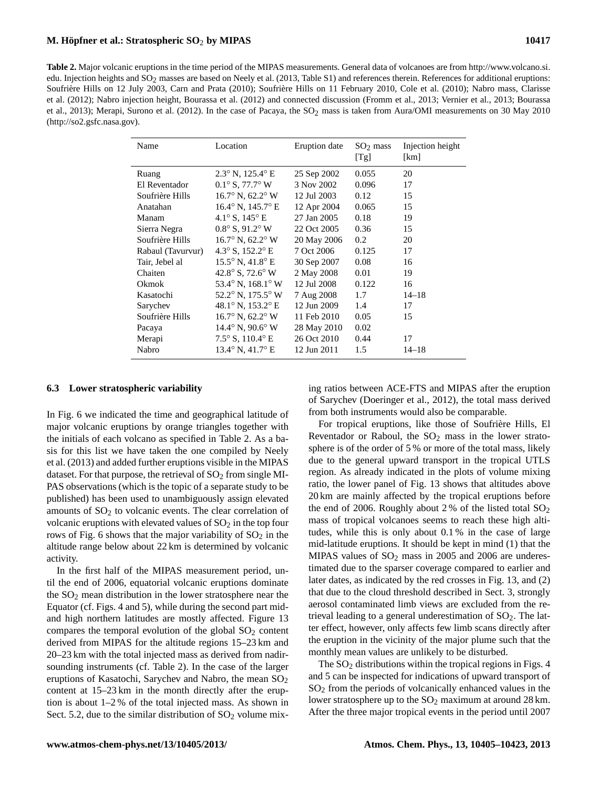<span id="page-12-0"></span>**Table 2.** Major volcanic eruptions in the time period of the MIPAS measurements. General data of volcanoes are from [http://www.volcano.si.](http://www.volcano.si.edu) [edu.](http://www.volcano.si.edu) Injection heights and  $SO_2$  masses are based on [Neely et al.](#page-17-22) [\(2013,](#page-17-22) Table S1) and references therein. References for additional eruptions: Soufrière Hills on 12 July 2003, [Carn and Prata](#page-16-5) [\(2010\)](#page-16-5); Soufrière Hills on 11 February 2010, [Cole et al.](#page-16-6) [\(2010\)](#page-16-6); Nabro mass, [Clarisse](#page-16-7) [et al.](#page-16-7) [\(2012\)](#page-16-7); Nabro injection height, [Bourassa et al.](#page-16-1) [\(2012\)](#page-16-1) and connected discussion [\(Fromm et al.,](#page-17-23) [2013;](#page-17-23) [Vernier et al.,](#page-18-17) [2013;](#page-18-17) [Bourassa](#page-16-8) [et al.,](#page-16-8) [2013\)](#page-16-8); Merapi, [Surono et al.](#page-18-18) [\(2012\)](#page-18-18). In the case of Pacaya, the  $SO_2$  mass is taken from Aura/OMI measurements on 30 May 2010 [\(http://so2.gsfc.nasa.gov\)](http://so2.gsfc.nasa.gov).

| Name              | Location                                       | Eruption date | $SO2$ mass<br>[Tg] | Injection height<br>[km] |
|-------------------|------------------------------------------------|---------------|--------------------|--------------------------|
| Ruang             | $2.3^{\circ}$ N, $125.4^{\circ}$ E             | 25 Sep 2002   | 0.055              | 20                       |
| El Reventador     | $0.1^{\circ}$ S, 77.7° W                       | 3 Nov 2002    | 0.096              | 17                       |
| Soufrière Hills   | $16.7^\circ$ N, $62.2^\circ$ W                 | 12 Jul 2003   | 0.12               | 15                       |
| Anatahan          | $16.4^{\circ}$ N, $145.7^{\circ}$ E            | 12 Apr 2004   | 0.065              | 15                       |
| Manam             | $4.1^{\circ}$ S, $145^{\circ}$ E               | 27 Jan 2005   | 0.18               | 19                       |
| Sierra Negra      | $0.8^{\circ}$ S, 91.2° W                       | 22 Oct 2005   | 0.36               | 15                       |
| Soufrière Hills   | $16.7^\circ$ N, $62.2^\circ$ W                 | 20 May 2006   | 0.2                | 20                       |
| Rabaul (Tavurvur) | 4.3 $\rm{^{\circ}S}$ , 152.2 $\rm{^{\circ}E}$  | 7 Oct 2006    | 0.125              | 17                       |
| Tair, Jebel al    | $15.5^{\circ}$ N, $41.8^{\circ}$ E             | 30 Sep 2007   | 0.08               | 16                       |
| Chaiten           | 42.8 $\rm{^{\circ}}$ S, 72.6 $\rm{^{\circ}}$ W | 2 May 2008    | 0.01               | 19                       |
| Okmok             | 53.4 $\degree$ N, 168.1 $\degree$ W            | 12 Jul 2008   | 0.122              | 16                       |
| Kasatochi         | $52.2^{\circ}$ N, $175.5^{\circ}$ W            | 7 Aug 2008    | 1.7                | $14 - 18$                |
| Sarychev          | 48.1° N, 153.2° E                              | 12 Jun 2009   | 1.4                | 17                       |
| Soufrière Hills   | $16.7^\circ$ N, $62.2^\circ$ W                 | 11 Feb 2010   | 0.05               | 15                       |
| Pacaya            | $14.4^{\circ}$ N, $90.6^{\circ}$ W             | 28 May 2010   | 0.02               |                          |
| Merapi            | $7.5^{\circ}$ S, $110.4^{\circ}$ E             | 26 Oct 2010   | 0.44               | 17                       |
| Nabro             | $13.4^{\circ}$ N, $41.7^{\circ}$ E             | 12 Jun 2011   | 1.5                | $14 - 18$                |

### <span id="page-12-1"></span>**6.3 Lower stratospheric variability**

In Fig. [6](#page-7-0) we indicated the time and geographical latitude of major volcanic eruptions by orange triangles together with the initials of each volcano as specified in Table [2.](#page-12-0) As a basis for this list we have taken the one compiled by [Neely](#page-17-22) [et al.](#page-17-22) [\(2013\)](#page-17-22) and added further eruptions visible in the MIPAS dataset. For that purpose, the retrieval of  $SO<sub>2</sub>$  from single MI-PAS observations (which is the topic of a separate study to be published) has been used to unambiguously assign elevated amounts of  $SO<sub>2</sub>$  to volcanic events. The clear correlation of volcanic eruptions with elevated values of  $SO<sub>2</sub>$  in the top four rows of Fig. [6](#page-7-0) shows that the major variability of  $SO_2$  in the altitude range below about 22 km is determined by volcanic activity.

In the first half of the MIPAS measurement period, until the end of 2006, equatorial volcanic eruptions dominate the  $SO<sub>2</sub>$  mean distribution in the lower stratosphere near the Equator (cf. Figs. [4](#page-5-0) and [5\)](#page-6-0), while during the second part midand high northern latitudes are mostly affected. Figure [13](#page-13-0) compares the temporal evolution of the global  $SO<sub>2</sub>$  content derived from MIPAS for the altitude regions 15–23 km and 20–23 km with the total injected mass as derived from nadirsounding instruments (cf. Table [2\)](#page-12-0). In the case of the larger eruptions of Kasatochi, Sarychev and Nabro, the mean SO<sub>2</sub> content at 15–23 km in the month directly after the eruption is about 1–2 % of the total injected mass. As shown in Sect. [5.2,](#page-8-2) due to the similar distribution of  $SO_2$  volume mixing ratios between ACE-FTS and MIPAS after the eruption of Sarychev [\(Doeringer et al.,](#page-17-10) [2012\)](#page-17-10), the total mass derived from both instruments would also be comparable.

For tropical eruptions, like those of Soufrière Hills, El Reventador or Raboul, the  $SO<sub>2</sub>$  mass in the lower stratosphere is of the order of 5 % or more of the total mass, likely due to the general upward transport in the tropical UTLS region. As already indicated in the plots of volume mixing ratio, the lower panel of Fig. [13](#page-13-0) shows that altitudes above 20 km are mainly affected by the tropical eruptions before the end of 2006. Roughly about 2% of the listed total  $SO_2$ mass of tropical volcanoes seems to reach these high altitudes, while this is only about 0.1 % in the case of large mid-latitude eruptions. It should be kept in mind (1) that the MIPAS values of  $SO_2$  mass in 2005 and 2006 are underestimated due to the sparser coverage compared to earlier and later dates, as indicated by the red crosses in Fig. [13,](#page-13-0) and (2) that due to the cloud threshold described in Sect. [3,](#page-1-1) strongly aerosol contaminated limb views are excluded from the retrieval leading to a general underestimation of  $SO_2$ . The latter effect, however, only affects few limb scans directly after the eruption in the vicinity of the major plume such that the monthly mean values are unlikely to be disturbed.

The  $SO<sub>2</sub>$  distributions within the tropical regions in Figs. [4](#page-5-0) and [5](#page-6-0) can be inspected for indications of upward transport of SO<sup>2</sup> from the periods of volcanically enhanced values in the lower stratosphere up to the  $SO_2$  maximum at around 28 km. After the three major tropical events in the period until 2007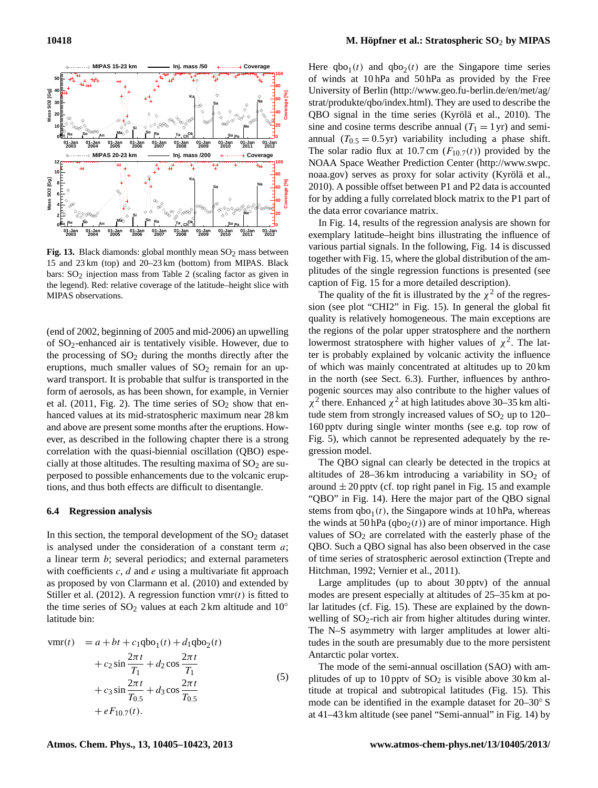

<span id="page-13-0"></span>Fig. 13. Black diamonds: global monthly mean  $SO<sub>2</sub>$  mass between 15 and 23 km (top) and 20–23 km (bottom) from MIPAS. Black bars:  $SO<sub>2</sub>$  $SO<sub>2</sub>$  $SO<sub>2</sub>$  injection mass from Table 2 (scaling factor as given in the legend). Red: relative coverage of the latitude–height slice with MIPAS observations.

(end of 2002, beginning of 2005 and mid-2006) an upwelling of SO2-enhanced air is tentatively visible. However, due to the processing of  $SO<sub>2</sub>$  during the months directly after the eruptions, much smaller values of  $SO<sub>2</sub>$  remain for an upward transport. It is probable that sulfur is transported in the form of aerosols, as has been shown, for example, in [Vernier](#page-18-1) [et al.](#page-18-1)  $(2011, Fig. 2)$  $(2011, Fig. 2)$ . The time series of  $SO<sub>2</sub>$  show that enhanced values at its mid-stratospheric maximum near 28 km and above are present some months after the eruptions. However, as described in the following chapter there is a strong correlation with the quasi-biennial oscillation (QBO) especially at those altitudes. The resulting maxima of  $SO<sub>2</sub>$  are superposed to possible enhancements due to the volcanic eruptions, and thus both effects are difficult to disentangle.

### **6.4 Regression analysis**

In this section, the temporal development of the  $SO<sub>2</sub>$  dataset is analysed under the consideration of a constant term  $a$ ; a linear term b; several periodics; and external parameters with coefficients  $c$ ,  $d$  and  $e$  using a multivariate fit approach as proposed by [von Clarmann et al.](#page-18-19) [\(2010\)](#page-18-19) and extended by [Stiller et al.](#page-18-20) [\(2012\)](#page-18-20). A regression function  $vmf(t)$  is fitted to the time series of  $SO_2$  values at each 2 km altitude and  $10^\circ$ latitude bin:

$$
\text{vmr}(t) = a + bt + c_1 \text{qbo}_1(t) + d_1 \text{qbo}_2(t) \n+ c_2 \sin \frac{2\pi t}{T_1} + d_2 \cos \frac{2\pi t}{T_1} \n+ c_3 \sin \frac{2\pi t}{T_{0.5}} + d_3 \cos \frac{2\pi t}{T_{0.5}} \n+ eF_{10.7}(t).
$$
\n(5)

Here  $qbo_1(t)$  and  $qbo_2(t)$  are the Singapore time series of winds at 10 hPa and 50 hPa as provided by the Free University of Berlin [\(http://www.geo.fu-berlin.de/en/met/ag/](http://www.geo.fu-berlin.de/en/met/ag/strat/produkte/qbo/index.html) [strat/produkte/qbo/index.html\)](http://www.geo.fu-berlin.de/en/met/ag/strat/produkte/qbo/index.html). They are used to describe the QBO signal in the time series [\(Kyrölä et al.,](#page-17-24) [2010\)](#page-17-24). The sine and cosine terms describe annual  $(T_1 = 1 \text{ yr})$  and semiannual  $(T_{0.5} = 0.5 \text{ yr})$  variability including a phase shift. The solar radio flux at 10.7 cm  $(F_{10.7}(t))$  provided by the NOAA Space Weather Prediction Center [\(http://www.swpc.](http://www.swpc.noaa.gov) [noaa.gov\)](http://www.swpc.noaa.gov) serves as proxy for solar activity [\(Kyrölä et al.,](#page-17-24) [2010\)](#page-17-24). A possible offset between P1 and P2 data is accounted for by adding a fully correlated block matrix to the P1 part of the data error covariance matrix.

In Fig. [14,](#page-14-0) results of the regression analysis are shown for exemplary latitude–height bins illustrating the influence of various partial signals. In the following, Fig. [14](#page-14-0) is discussed together with Fig. [15,](#page-14-1) where the global distribution of the amplitudes of the single regression functions is presented (see caption of Fig. [15](#page-14-1) for a more detailed description).

The quality of the fit is illustrated by the  $\chi^2$  of the regression (see plot "CHI2" in Fig. [15\)](#page-14-1). In general the global fit quality is relatively homogeneous. The main exceptions are the regions of the polar upper stratosphere and the northern lowermost stratosphere with higher values of  $\chi^2$ . The latter is probably explained by volcanic activity the influence of which was mainly concentrated at altitudes up to 20 km in the north (see Sect. [6.3\)](#page-12-1). Further, influences by anthropogenic sources may also contribute to the higher values of  $\chi^2$  there. Enhanced  $\chi^2$  at high latitudes above 30–35 km altitude stem from strongly increased values of  $SO<sub>2</sub>$  up to 120– 160 pptv during single winter months (see e.g. top row of Fig. [5\)](#page-6-0), which cannot be represented adequately by the regression model.

The QBO signal can clearly be detected in the tropics at altitudes of  $28-36 \text{ km}$  introducing a variability in  $SO<sub>2</sub>$  of around  $\pm 20$  pptv (cf. top right panel in Fig. [15](#page-14-1) and example "QBO" in Fig. [14\)](#page-14-0). Here the major part of the QBO signal stems from  $qbo_1(t)$ , the Singapore winds at 10 hPa, whereas the winds at 50 hPa  $(qbo<sub>2</sub>(t))$  are of minor importance. High values of  $SO<sub>2</sub>$  are correlated with the easterly phase of the QBO. Such a QBO signal has also been observed in the case of time series of stratospheric aerosol extinction [\(Trepte and](#page-18-21) [Hitchman,](#page-18-21) [1992;](#page-18-21) [Vernier et al.,](#page-18-1) [2011\)](#page-18-1).

Large amplitudes (up to about 30 pptv) of the annual modes are present especially at altitudes of 25–35 km at polar latitudes (cf. Fig. [15\)](#page-14-1). These are explained by the downwelling of  $SO_2$ -rich air from higher altitudes during winter. The N–S asymmetry with larger amplitudes at lower altitudes in the south are presumably due to the more persistent Antarctic polar vortex.

The mode of the semi-annual oscillation (SAO) with amplitudes of up to 10 pptv of  $SO_2$  is visible above 30 km altitude at tropical and subtropical latitudes (Fig. [15\)](#page-14-1). This mode can be identified in the example dataset for 20–30◦ S at 41–43 km altitude (see panel "Semi-annual" in Fig. [14\)](#page-14-0) by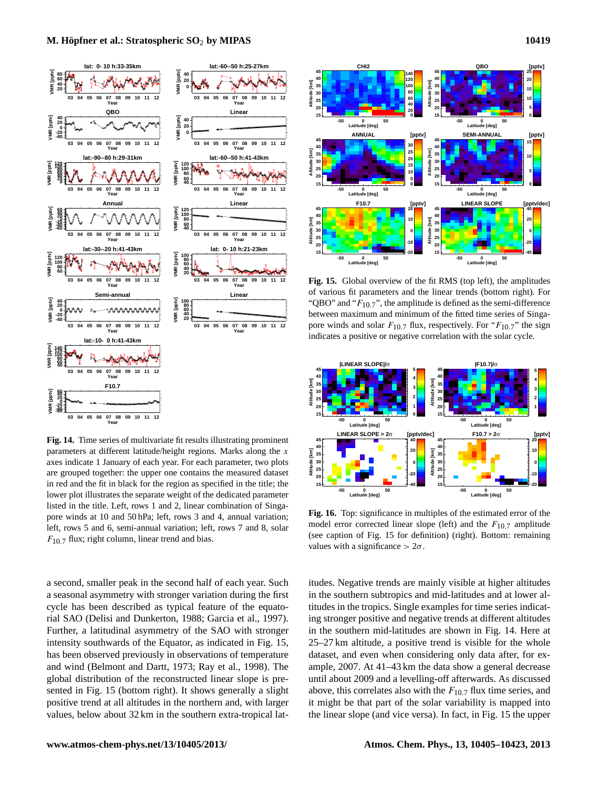

<span id="page-14-0"></span>**Fig. 14.** Time series of multivariate fit results illustrating prominent parameters at different latitude/height regions. Marks along the  $x$ axes indicate 1 January of each year. For each parameter, two plots are grouped together: the upper one contains the measured dataset in red and the fit in black for the region as specified in the title; the lower plot illustrates the separate weight of the dedicated parameter listed in the title. Left, rows 1 and 2, linear combination of Singapore winds at 10 and 50 hPa; left, rows 3 and 4, annual variation; left, rows 5 and 6, semi-annual variation; left, rows 7 and 8, solar  $F_{10.7}$  flux; right column, linear trend and bias.

a second, smaller peak in the second half of each year. Such a seasonal asymmetry with stronger variation during the first cycle has been described as typical feature of the equatorial SAO [\(Delisi and Dunkerton,](#page-17-25) [1988;](#page-17-25) [Garcia et al.,](#page-17-26) [1997\)](#page-17-26). Further, a latitudinal asymmetry of the SAO with stronger intensity southwards of the Equator, as indicated in Fig. [15,](#page-14-1) has been observed previously in observations of temperature and wind [\(Belmont and Dartt,](#page-16-9) [1973;](#page-16-9) [Ray et al.,](#page-17-27) [1998\)](#page-17-27). The global distribution of the reconstructed linear slope is presented in Fig. [15](#page-14-1) (bottom right). It shows generally a slight positive trend at all altitudes in the northern and, with larger values, below about 32 km in the southern extra-tropical lat-



<span id="page-14-1"></span>**Fig. 15.** Global overview of the fit RMS (top left), the amplitudes of various fit parameters and the linear trends (bottom right). For "QBO" and " $F_{10.7}$ ", the amplitude is defined as the semi-difference between maximum and minimum of the fitted time series of Singapore winds and solar  $F_{10.7}$  flux, respectively. For " $F_{10.7}$ " the sign indicates a positive or negative correlation with the solar cycle.



<span id="page-14-2"></span>**Fig. 16.** Top: significance in multiples of the estimated error of the model error corrected linear slope (left) and the  $F_{10,7}$  amplitude (see caption of Fig. [15](#page-14-1) for definition) (right). Bottom: remaining values with a significance  $> 2\sigma$ .

itudes. Negative trends are mainly visible at higher altitudes in the southern subtropics and mid-latitudes and at lower altitudes in the tropics. Single examples for time series indicating stronger positive and negative trends at different altitudes in the southern mid-latitudes are shown in Fig. [14.](#page-14-0) Here at 25–27 km altitude, a positive trend is visible for the whole dataset, and even when considering only data after, for example, 2007. At 41–43 km the data show a general decrease until about 2009 and a levelling-off afterwards. As discussed above, this correlates also with the  $F_{10.7}$  flux time series, and it might be that part of the solar variability is mapped into the linear slope (and vice versa). In fact, in Fig. [15](#page-14-1) the upper

### **www.atmos-chem-phys.net/13/10405/2013/ Atmos. Chem. Phys., 13, 10405[–10423,](#page-0-0) 2013**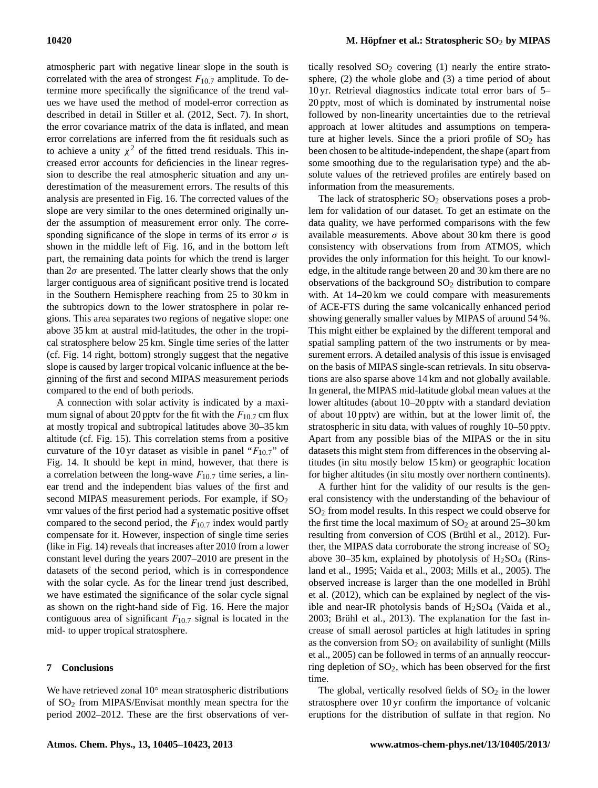atmospheric part with negative linear slope in the south is correlated with the area of strongest  $F_{10,7}$  amplitude. To determine more specifically the significance of the trend values we have used the method of model-error correction as described in detail in [Stiller et al.](#page-18-20) [\(2012,](#page-18-20) Sect. 7). In short, the error covariance matrix of the data is inflated, and mean error correlations are inferred from the fit residuals such as to achieve a unity  $\chi^2$  of the fitted trend residuals. This increased error accounts for deficiencies in the linear regression to describe the real atmospheric situation and any underestimation of the measurement errors. The results of this analysis are presented in Fig. [16.](#page-14-2) The corrected values of the slope are very similar to the ones determined originally under the assumption of measurement error only. The corresponding significance of the slope in terms of its error  $\sigma$  is shown in the middle left of Fig. [16,](#page-14-2) and in the bottom left part, the remaining data points for which the trend is larger than  $2\sigma$  are presented. The latter clearly shows that the only larger contiguous area of significant positive trend is located in the Southern Hemisphere reaching from 25 to 30 km in the subtropics down to the lower stratosphere in polar regions. This area separates two regions of negative slope: one above 35 km at austral mid-latitudes, the other in the tropical stratosphere below 25 km. Single time series of the latter (cf. Fig. [14](#page-14-0) right, bottom) strongly suggest that the negative slope is caused by larger tropical volcanic influence at the beginning of the first and second MIPAS measurement periods compared to the end of both periods.

A connection with solar activity is indicated by a maximum signal of about 20 pptv for the fit with the  $F_{10.7}$  cm flux at mostly tropical and subtropical latitudes above 30–35 km altitude (cf. Fig. [15\)](#page-14-1). This correlation stems from a positive curvature of the 10 yr dataset as visible in panel " $F_{10.7}$ " of Fig. [14.](#page-14-0) It should be kept in mind, however, that there is a correlation between the long-wave  $F_{10.7}$  time series, a linear trend and the independent bias values of the first and second MIPAS measurement periods. For example, if  $SO_2$ vmr values of the first period had a systematic positive offset compared to the second period, the  $F_{10.7}$  index would partly compensate for it. However, inspection of single time series (like in Fig. [14\)](#page-14-0) reveals that increases after 2010 from a lower constant level during the years 2007–2010 are present in the datasets of the second period, which is in correspondence with the solar cycle. As for the linear trend just described, we have estimated the significance of the solar cycle signal as shown on the right-hand side of Fig. [16.](#page-14-2) Here the major contiguous area of significant  $F_{10.7}$  signal is located in the mid- to upper tropical stratosphere.

## **7 Conclusions**

We have retrieved zonal 10◦ mean stratospheric distributions of  $SO<sub>2</sub>$  from MIPAS/Envisat monthly mean spectra for the period 2002–2012. These are the first observations of vertically resolved  $SO_2$  covering (1) nearly the entire stratosphere, (2) the whole globe and (3) a time period of about 10 yr. Retrieval diagnostics indicate total error bars of 5– 20 pptv, most of which is dominated by instrumental noise followed by non-linearity uncertainties due to the retrieval approach at lower altitudes and assumptions on temperature at higher levels. Since the a priori profile of  $SO<sub>2</sub>$  has been chosen to be altitude-independent, the shape (apart from some smoothing due to the regularisation type) and the absolute values of the retrieved profiles are entirely based on information from the measurements.

The lack of stratospheric  $SO_2$  observations poses a problem for validation of our dataset. To get an estimate on the data quality, we have performed comparisons with the few available measurements. Above about 30 km there is good consistency with observations from from ATMOS, which provides the only information for this height. To our knowledge, in the altitude range between 20 and 30 km there are no observations of the background  $SO<sub>2</sub>$  distribution to compare with. At 14–20 km we could compare with measurements of ACE-FTS during the same volcanically enhanced period showing generally smaller values by MIPAS of around 54 %. This might either be explained by the different temporal and spatial sampling pattern of the two instruments or by measurement errors. A detailed analysis of this issue is envisaged on the basis of MIPAS single-scan retrievals. In situ observations are also sparse above 14 km and not globally available. In general, the MIPAS mid-latitude global mean values at the lower altitudes (about 10–20 pptv with a standard deviation of about 10 pptv) are within, but at the lower limit of, the stratospheric in situ data, with values of roughly 10–50 pptv. Apart from any possible bias of the MIPAS or the in situ datasets this might stem from differences in the observing altitudes (in situ mostly below 15 km) or geographic location for higher altitudes (in situ mostly over northern continents).

A further hint for the validity of our results is the general consistency with the understanding of the behaviour of SO<sup>2</sup> from model results. In this respect we could observe for the first time the local maximum of  $SO_2$  at around  $25-30$  km resulting from conversion of COS [\(Brühl et al.,](#page-16-0) [2012\)](#page-16-0). Further, the MIPAS data corroborate the strong increase of  $SO<sub>2</sub>$ above 30–35 km, explained by photolysis of  $H_2SO_4$  [\(Rins](#page-17-3)[land et al.,](#page-17-3) [1995;](#page-17-3) [Vaida et al.,](#page-18-3) [2003;](#page-18-3) [Mills et al.,](#page-17-4) [2005\)](#page-17-4). The observed increase is larger than the one modelled in [Brühl](#page-16-0) [et al.](#page-16-0) [\(2012\)](#page-16-0), which can be explained by neglect of the visible and near-IR photolysis bands of  $H<sub>2</sub>SO<sub>4</sub>$  [\(Vaida et al.,](#page-18-3) [2003;](#page-18-3) [Brühl et al.,](#page-16-4) [2013\)](#page-16-4). The explanation for the fast increase of small aerosol particles at high latitudes in spring as the conversion from  $SO_2$  on availability of sunlight [\(Mills](#page-17-4) [et al.,](#page-17-4) [2005\)](#page-17-4) can be followed in terms of an annually reoccurring depletion of  $SO_2$ , which has been observed for the first time.

The global, vertically resolved fields of  $SO<sub>2</sub>$  in the lower stratosphere over 10 yr confirm the importance of volcanic eruptions for the distribution of sulfate in that region. No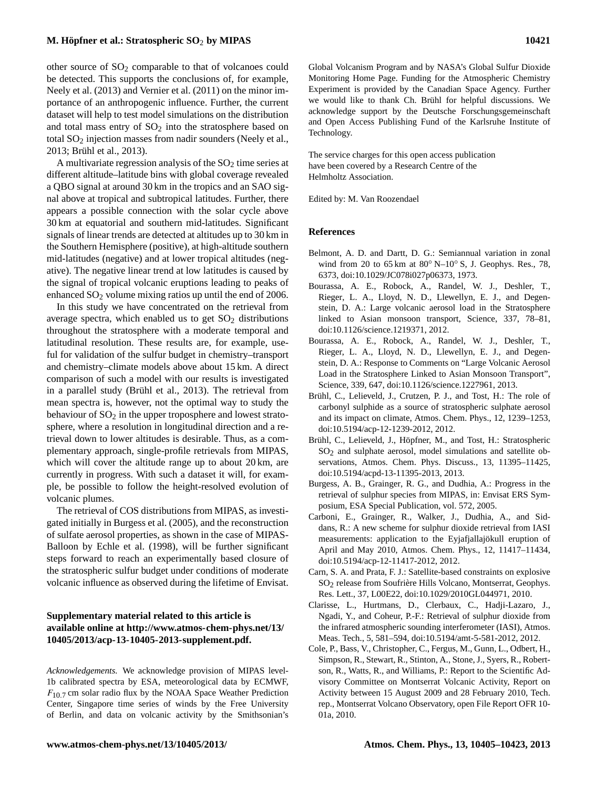# **M. Höpfner et al.: Stratospheric SO**<sup>2</sup> **by MIPAS 10421**

other source of  $SO<sub>2</sub>$  comparable to that of volcanoes could be detected. This supports the conclusions of, for example, [Neely et al.](#page-17-22) [\(2013\)](#page-17-22) and [Vernier et al.](#page-18-1) [\(2011\)](#page-18-1) on the minor importance of an anthropogenic influence. Further, the current dataset will help to test model simulations on the distribution and total mass entry of  $SO<sub>2</sub>$  into the stratosphere based on total SO<sub>2</sub> injection masses from nadir sounders [\(Neely et al.,](#page-17-22) [2013;](#page-17-22) [Brühl et al.,](#page-16-4) [2013\)](#page-16-4).

A multivariate regression analysis of the  $SO<sub>2</sub>$  time series at different altitude–latitude bins with global coverage revealed a QBO signal at around 30 km in the tropics and an SAO signal above at tropical and subtropical latitudes. Further, there appears a possible connection with the solar cycle above 30 km at equatorial and southern mid-latitudes. Significant signals of linear trends are detected at altitudes up to 30 km in the Southern Hemisphere (positive), at high-altitude southern mid-latitudes (negative) and at lower tropical altitudes (negative). The negative linear trend at low latitudes is caused by the signal of tropical volcanic eruptions leading to peaks of enhanced SO<sub>2</sub> volume mixing ratios up until the end of 2006.

In this study we have concentrated on the retrieval from average spectra, which enabled us to get  $SO<sub>2</sub>$  distributions throughout the stratosphere with a moderate temporal and latitudinal resolution. These results are, for example, useful for validation of the sulfur budget in chemistry–transport and chemistry–climate models above about 15 km. A direct comparison of such a model with our results is investigated in a parallel study [\(Brühl et al.,](#page-16-4) [2013\)](#page-16-4). The retrieval from mean spectra is, however, not the optimal way to study the behaviour of  $SO<sub>2</sub>$  in the upper troposphere and lowest stratosphere, where a resolution in longitudinal direction and a retrieval down to lower altitudes is desirable. Thus, as a complementary approach, single-profile retrievals from MIPAS, which will cover the altitude range up to about 20 km, are currently in progress. With such a dataset it will, for example, be possible to follow the height-resolved evolution of volcanic plumes.

The retrieval of COS distributions from MIPAS, as investigated initially in [Burgess et al.](#page-16-3) [\(2005\)](#page-16-3), and the reconstruction of sulfate aerosol properties, as shown in the case of MIPAS-Balloon by [Echle et al.](#page-17-28) [\(1998\)](#page-17-28), will be further significant steps forward to reach an experimentally based closure of the stratospheric sulfur budget under conditions of moderate volcanic influence as observed during the lifetime of Envisat.

# **Supplementary material related to this article is available online at [http://www.atmos-chem-phys.net/13/](http://www.atmos-chem-phys.net/13/10405/2013/acp-13-10405-2013-supplement.pdf) [10405/2013/acp-13-10405-2013-supplement.pdf.](http://www.atmos-chem-phys.net/13/10405/2013/acp-13-10405-2013-supplement.pdf)**

*Acknowledgements.* We acknowledge provision of MIPAS level-1b calibrated spectra by ESA, meteorological data by ECMWF,  $F_{10}$  7 cm solar radio flux by the NOAA Space Weather Prediction Center, Singapore time series of winds by the Free University of Berlin, and data on volcanic activity by the Smithsonian's

Global Volcanism Program and by NASA's Global Sulfur Dioxide Monitoring Home Page. Funding for the Atmospheric Chemistry Experiment is provided by the Canadian Space Agency. Further we would like to thank Ch. Brühl for helpful discussions. We acknowledge support by the Deutsche Forschungsgemeinschaft and Open Access Publishing Fund of the Karlsruhe Institute of Technology.

The service charges for this open access publication have been covered by a Research Centre of the Helmholtz Association.

Edited by: M. Van Roozendael

# **References**

- <span id="page-16-9"></span>Belmont, A. D. and Dartt, D. G.: Semiannual variation in zonal wind from 20 to  $65 \text{ km}$  at  $80^\circ \text{ N}$ – $10^\circ \text{ S}$ , J. Geophys. Res., 78, 6373, doi[:10.1029/JC078i027p06373,](http://dx.doi.org/10.1029/JC078i027p06373) 1973.
- <span id="page-16-1"></span>Bourassa, A. E., Robock, A., Randel, W. J., Deshler, T., Rieger, L. A., Lloyd, N. D., Llewellyn, E. J., and Degenstein, D. A.: Large volcanic aerosol load in the Stratosphere linked to Asian monsoon transport, Science, 337, 78–81, doi[:10.1126/science.1219371,](http://dx.doi.org/10.1126/science.1219371) 2012.
- <span id="page-16-8"></span>Bourassa, A. E., Robock, A., Randel, W. J., Deshler, T., Rieger, L. A., Lloyd, N. D., Llewellyn, E. J., and Degenstein, D. A.: Response to Comments on "Large Volcanic Aerosol Load in the Stratosphere Linked to Asian Monsoon Transport", Science, 339, 647, doi[:10.1126/science.1227961,](http://dx.doi.org/10.1126/science.1227961) 2013.
- <span id="page-16-0"></span>Brühl, C., Lelieveld, J., Crutzen, P. J., and Tost, H.: The role of carbonyl sulphide as a source of stratospheric sulphate aerosol and its impact on climate, Atmos. Chem. Phys., 12, 1239–1253, doi[:10.5194/acp-12-1239-2012,](http://dx.doi.org/10.5194/acp-12-1239-2012) 2012.
- <span id="page-16-4"></span>Brühl, C., Lelieveld, J., Höpfner, M., and Tost, H.: Stratospheric  $SO<sub>2</sub>$  and sulphate aerosol, model simulations and satellite observations, Atmos. Chem. Phys. Discuss., 13, 11395–11425, doi[:10.5194/acpd-13-11395-2013,](http://dx.doi.org/10.5194/acpd-13-11395-2013) 2013.
- <span id="page-16-3"></span>Burgess, A. B., Grainger, R. G., and Dudhia, A.: Progress in the retrieval of sulphur species from MIPAS, in: Envisat ERS Symposium, ESA Special Publication, vol. 572, 2005.
- <span id="page-16-2"></span>Carboni, E., Grainger, R., Walker, J., Dudhia, A., and Siddans, R.: A new scheme for sulphur dioxide retrieval from IASI measurements: application to the Eyjafjallajökull eruption of April and May 2010, Atmos. Chem. Phys., 12, 11417–11434, doi[:10.5194/acp-12-11417-2012,](http://dx.doi.org/10.5194/acp-12-11417-2012) 2012.
- <span id="page-16-5"></span>Carn, S. A. and Prata, F. J.: Satellite-based constraints on explosive SO2 release from Soufrière Hills Volcano, Montserrat, Geophys. Res. Lett., 37, L00E22, doi[:10.1029/2010GL044971,](http://dx.doi.org/10.1029/2010GL044971) 2010.
- <span id="page-16-7"></span>Clarisse, L., Hurtmans, D., Clerbaux, C., Hadji-Lazaro, J., Ngadi, Y., and Coheur, P.-F.: Retrieval of sulphur dioxide from the infrared atmospheric sounding interferometer (IASI), Atmos. Meas. Tech., 5, 581–594, doi[:10.5194/amt-5-581-2012,](http://dx.doi.org/10.5194/amt-5-581-2012) 2012.
- <span id="page-16-6"></span>Cole, P., Bass, V., Christopher, C., Fergus, M., Gunn, L., Odbert, H., Simpson, R., Stewart, R., Stinton, A., Stone, J., Syers, R., Robertson, R., Watts, R., and Williams, P.: Report to the Scientific Advisory Committee on Montserrat Volcanic Activity, Report on Activity between 15 August 2009 and 28 February 2010, Tech. rep., Montserrat Volcano Observatory, open File Report OFR 10- 01a, 2010.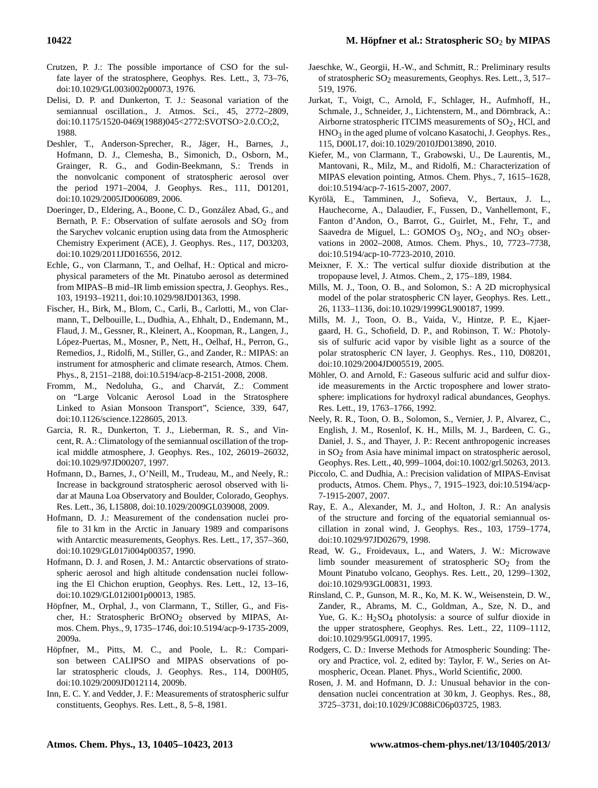- <span id="page-17-0"></span>Crutzen, P. J.: The possible importance of CSO for the sulfate layer of the stratosphere, Geophys. Res. Lett., 3, 73–76, doi[:10.1029/GL003i002p00073,](http://dx.doi.org/10.1029/GL003i002p00073) 1976.
- <span id="page-17-25"></span>Delisi, D. P. and Dunkerton, T. J.: Seasonal variation of the semiannual oscillation., J. Atmos. Sci., 45, 2772–2809, doi[:10.1175/1520-0469\(1988\)045<2772:SVOTSO>2.0.CO;2,](http://dx.doi.org/10.1175/1520-0469(1988)045%3C2772:SVOTSO%3E2.0.CO;2) 1988.
- <span id="page-17-1"></span>Deshler, T., Anderson-Sprecher, R., Jäger, H., Barnes, J., Hofmann, D. J., Clemesha, B., Simonich, D., Osborn, M., Grainger, R. G., and Godin-Beekmann, S.: Trends in the nonvolcanic component of stratospheric aerosol over the period 1971–2004, J. Geophys. Res., 111, D01201, doi[:10.1029/2005JD006089,](http://dx.doi.org/10.1029/2005JD006089) 2006.
- <span id="page-17-10"></span>Doeringer, D., Eldering, A., Boone, C. D., González Abad, G., and Bernath, P. F.: Observation of sulfate aerosols and  $SO_2$  from the Sarychev volcanic eruption using data from the Atmospheric Chemistry Experiment (ACE), J. Geophys. Res., 117, D03203, doi[:10.1029/2011JD016556,](http://dx.doi.org/10.1029/2011JD016556) 2012.
- <span id="page-17-28"></span>Echle, G., von Clarmann, T., and Oelhaf, H.: Optical and microphysical parameters of the Mt. Pinatubo aerosol as determined from MIPAS–B mid–IR limb emission spectra, J. Geophys. Res., 103, 19193–19211, doi[:10.1029/98JD01363,](http://dx.doi.org/10.1029/98JD01363) 1998.
- <span id="page-17-11"></span>Fischer, H., Birk, M., Blom, C., Carli, B., Carlotti, M., von Clarmann, T., Delbouille, L., Dudhia, A., Ehhalt, D., Endemann, M., Flaud, J. M., Gessner, R., Kleinert, A., Koopman, R., Langen, J., López-Puertas, M., Mosner, P., Nett, H., Oelhaf, H., Perron, G., Remedios, J., Ridolfi, M., Stiller, G., and Zander, R.: MIPAS: an instrument for atmospheric and climate research, Atmos. Chem. Phys., 8, 2151–2188, doi[:10.5194/acp-8-2151-2008,](http://dx.doi.org/10.5194/acp-8-2151-2008) 2008.
- <span id="page-17-23"></span>Fromm, M., Nedoluha, G., and Charvát, Z.: Comment on "Large Volcanic Aerosol Load in the Stratosphere Linked to Asian Monsoon Transport", Science, 339, 647, doi[:10.1126/science.1228605,](http://dx.doi.org/10.1126/science.1228605) 2013.
- <span id="page-17-26"></span>Garcia, R. R., Dunkerton, T. J., Lieberman, R. S., and Vincent, R. A.: Climatology of the semiannual oscillation of the tropical middle atmosphere, J. Geophys. Res., 102, 26019–26032, doi[:10.1029/97JD00207,](http://dx.doi.org/10.1029/97JD00207) 1997.
- <span id="page-17-2"></span>Hofmann, D., Barnes, J., O'Neill, M., Trudeau, M., and Neely, R.: Increase in background stratospheric aerosol observed with lidar at Mauna Loa Observatory and Boulder, Colorado, Geophys. Res. Lett., 36, L15808, doi[:10.1029/2009GL039008,](http://dx.doi.org/10.1029/2009GL039008) 2009.
- <span id="page-17-8"></span>Hofmann, D. J.: Measurement of the condensation nuclei profile to 31 km in the Arctic in January 1989 and comparisons with Antarctic measurements, Geophys. Res. Lett., 17, 357–360, doi[:10.1029/GL017i004p00357,](http://dx.doi.org/10.1029/GL017i004p00357) 1990.
- <span id="page-17-7"></span>Hofmann, D. J. and Rosen, J. M.: Antarctic observations of stratospheric aerosol and high altitude condensation nuclei following the El Chichon eruption, Geophys. Res. Lett., 12, 13–16, doi[:10.1029/GL012i001p00013,](http://dx.doi.org/10.1029/GL012i001p00013) 1985.
- <span id="page-17-12"></span>Höpfner, M., Orphal, J., von Clarmann, T., Stiller, G., and Fischer, H.: Stratospheric BrONO<sub>2</sub> observed by MIPAS, Atmos. Chem. Phys., 9, 1735–1746, doi[:10.5194/acp-9-1735-2009,](http://dx.doi.org/10.5194/acp-9-1735-2009) 2009a.
- <span id="page-17-13"></span>Höpfner, M., Pitts, M. C., and Poole, L. R.: Comparison between CALIPSO and MIPAS observations of polar stratospheric clouds, J. Geophys. Res., 114, D00H05, doi[:10.1029/2009JD012114,](http://dx.doi.org/10.1029/2009JD012114) 2009b.
- <span id="page-17-17"></span>Inn, E. C. Y. and Vedder, J. F.: Measurements of stratospheric sulfur constituents, Geophys. Res. Lett., 8, 5–8, 1981.
- <span id="page-17-16"></span>Jaeschke, W., Georgii, H.-W., and Schmitt, R.: Preliminary results of stratospheric  $SO_2$  measurements, Geophys. Res. Lett., 3, 517– 519, 1976.
- <span id="page-17-20"></span>Jurkat, T., Voigt, C., Arnold, F., Schlager, H., Aufmhoff, H., Schmale, J., Schneider, J., Lichtenstern, M., and Dörnbrack, A.: Airborne stratospheric ITCIMS measurements of  $SO_2$ , HCl, and HNO<sub>3</sub> in the aged plume of volcano Kasatochi, J. Geophys. Res., 115, D00L17, doi[:10.1029/2010JD013890,](http://dx.doi.org/10.1029/2010JD013890) 2010.
- <span id="page-17-15"></span>Kiefer, M., von Clarmann, T., Grabowski, U., De Laurentis, M., Mantovani, R., Milz, M., and Ridolfi, M.: Characterization of MIPAS elevation pointing, Atmos. Chem. Phys., 7, 1615–1628, doi[:10.5194/acp-7-1615-2007,](http://dx.doi.org/10.5194/acp-7-1615-2007) 2007.
- <span id="page-17-24"></span>Kyrölä, E., Tamminen, J., Sofieva, V., Bertaux, J. L., Hauchecorne, A., Dalaudier, F., Fussen, D., Vanhellemont, F., Fanton d'Andon, O., Barrot, G., Guirlet, M., Fehr, T., and Saavedra de Miguel, L.: GOMOS  $O_3$ , NO<sub>2</sub>, and NO<sub>3</sub> observations in 2002–2008, Atmos. Chem. Phys., 10, 7723–7738, doi[:10.5194/acp-10-7723-2010,](http://dx.doi.org/10.5194/acp-10-7723-2010) 2010.
- <span id="page-17-18"></span>Meixner, F. X.: The vertical sulfur dioxide distribution at the tropopause level, J. Atmos. Chem., 2, 175–189, 1984.
- <span id="page-17-5"></span>Mills, M. J., Toon, O. B., and Solomon, S.: A 2D microphysical model of the polar stratospheric CN layer, Geophys. Res. Lett., 26, 1133–1136, doi[:10.1029/1999GL900187,](http://dx.doi.org/10.1029/1999GL900187) 1999.
- <span id="page-17-4"></span>Mills, M. J., Toon, O. B., Vaida, V., Hintze, P. E., Kjaergaard, H. G., Schofield, D. P., and Robinson, T. W.: Photolysis of sulfuric acid vapor by visible light as a source of the polar stratospheric CN layer, J. Geophys. Res., 110, D08201, doi[:10.1029/2004JD005519,](http://dx.doi.org/10.1029/2004JD005519) 2005.
- <span id="page-17-19"></span>Möhler, O. and Arnold, F.: Gaseous sulfuric acid and sulfur dioxide measurements in the Arctic troposphere and lower stratosphere: implications for hydroxyl radical abundances, Geophys. Res. Lett., 19, 1763–1766, 1992.
- <span id="page-17-22"></span>Neely, R. R., Toon, O. B., Solomon, S., Vernier, J. P., Alvarez, C., English, J. M., Rosenlof, K. H., Mills, M. J., Bardeen, C. G., Daniel, J. S., and Thayer, J. P.: Recent anthropogenic increases in  $SO<sub>2</sub>$  from Asia have minimal impact on stratospheric aerosol, Geophys. Res. Lett., 40, 999–1004, doi[:10.1002/grl.50263,](http://dx.doi.org/10.1002/grl.50263) 2013.
- <span id="page-17-21"></span>Piccolo, C. and Dudhia, A.: Precision validation of MIPAS-Envisat products, Atmos. Chem. Phys., 7, 1915–1923, doi[:10.5194/acp-](http://dx.doi.org/10.5194/acp-7-1915-2007)[7-1915-2007,](http://dx.doi.org/10.5194/acp-7-1915-2007) 2007.
- <span id="page-17-27"></span>Ray, E. A., Alexander, M. J., and Holton, J. R.: An analysis of the structure and forcing of the equatorial semiannual oscillation in zonal wind, J. Geophys. Res., 103, 1759–1774, doi[:10.1029/97JD02679,](http://dx.doi.org/10.1029/97JD02679) 1998.
- <span id="page-17-9"></span>Read, W. G., Froidevaux, L., and Waters, J. W.: Microwave limb sounder measurement of stratospheric  $SO<sub>2</sub>$  from the Mount Pinatubo volcano, Geophys. Res. Lett., 20, 1299–1302, doi[:10.1029/93GL00831,](http://dx.doi.org/10.1029/93GL00831) 1993.
- <span id="page-17-3"></span>Rinsland, C. P., Gunson, M. R., Ko, M. K. W., Weisenstein, D. W., Zander, R., Abrams, M. C., Goldman, A., Sze, N. D., and Yue, G. K.:  $H_2SO_4$  photolysis: a source of sulfur dioxide in the upper stratosphere, Geophys. Res. Lett., 22, 1109–1112, doi[:10.1029/95GL00917,](http://dx.doi.org/10.1029/95GL00917) 1995.
- <span id="page-17-14"></span>Rodgers, C. D.: Inverse Methods for Atmospheric Sounding: Theory and Practice, vol. 2, edited by: Taylor, F. W., Series on Atmospheric, Ocean. Planet. Phys., World Scientific, 2000.
- <span id="page-17-6"></span>Rosen, J. M. and Hofmann, D. J.: Unusual behavior in the condensation nuclei concentration at 30 km, J. Geophys. Res., 88, 3725–3731, doi[:10.1029/JC088iC06p03725,](http://dx.doi.org/10.1029/JC088iC06p03725) 1983.